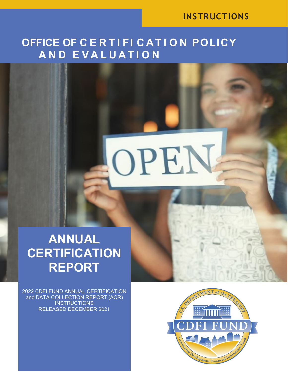### **INSTRUCTIONS**

## **OFFICE OF C E R T I FI C AT I O N POLICY A N D E V A L U A T I O N**

OPEN

# **ANNUAL CERTIFICATION REPORT**

2022 CDFI FUND ANNUAL CERTIFICATION and DATA COLLECTION REPORT (ACR) **INSTRUCTIONS** RELEASED DECEMBER 2021

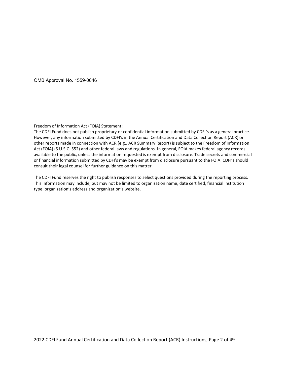OMB Approval No. 1559-0046

Freedom of Information Act (FOIA) Statement:

The CDFI Fund does not publish proprietary or confidential information submitted by CDFI's as a general practice. However, any information submitted by CDFI's in the Annual Certification and Data Collection Report (ACR) or other reports made in connection with ACR (e.g., ACR Summary Report) is subject to the Freedom of Information Act (FOIA) (5 U.S.C. 552) and other federal laws and regulations. In general, FOIA makes federal agency records available to the public, unless the information requested is exempt from disclosure. Trade secrets and commercial or financial information submitted by CDFI's may be exempt from disclosure pursuant to the FOIA. CDFI's should consult their legal counsel for further guidance on this matter.

The CDFI Fund reserves the right to publish responses to select questions provided during the reporting process. This information may include, but may not be limited to organization name, date certified, financial institution type, organization's address and organization's website.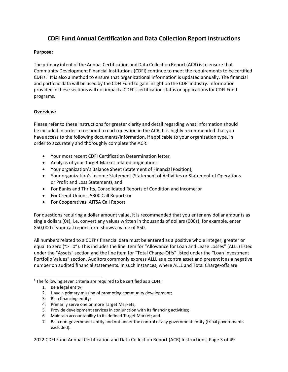#### **CDFI Fund Annual Certification and Data Collection Report Instructions**

#### **Purpose:**

The primary intent of the Annual Certification and Data Collection Report (ACR) is to ensure that Community Development Financial Institutions (CDFI) continue to meet the requirements to be certified CDFIs.[1](#page-2-0) It is also a method to ensure that organizational information is updated annually. The financial and portfolio data will be used by the CDFI Fund to gain insight on the CDFI industry. Information provided in these sections will notimpact a CDFI's certification status or applicationsfor CDFI Fund programs.

#### **Overview:**

Please refer to these instructions for greater clarity and detail regarding what information should be included in order to respond to each question in the ACR. It is highly recommended that you have access to the following documents/information, if applicable to your organization type, in order to accurately and thoroughly complete the ACR:

- Your most recent CDFI Certification Determination letter,
- Analysis of your Target Market related originations
- Your organization's Balance Sheet (Statement of Financial Position),
- Your organization's Income Statement (Statement of Activities or Statement of Operations or Profit and Loss Statement), and
- For Banks and Thrifts, Consolidated Reports of Condition and Income;or
- For Credit Unions, 5300 Call Report; or
- For Cooperativas, AITSA Call Report.

For questions requiring a dollar amount value, it is recommended that you enter any dollar amounts as single dollars (0s), i.e. convert any values written in thousands of dollars (000s), for example, enter 850,000 if your call report form shows a value of 850.

All numbers related to a CDFI's financial data must be entered as a positive whole integer, greater or equal to zero (">= 0"). This includes the line item for "Allowance for Loan and Lease Losses" (ALLL) listed under the "Assets" section and the line item for "Total Charge-Offs" listed under the "Loan Investment Portfolio Values" section. Auditors commonly express ALLL as a contra asset and present it as a negative number on audited financial statements. In such instances, where ALLL and Total Charge-offs are

- 3. Be a financing entity;
- 4. Primarily serve one or more Target Markets;
- 5. Provide development services in conjunction with its financing activities;
- 6. Maintain accountability to its defined Target Market; and
- 7. Be a non-government entity and not under the control of any government entity (tribal governments excluded).

2022 CDFI Fund Annual Certification and Data Collection Report (ACR) Instructions, Page 3 of 49

<span id="page-2-0"></span><sup>&</sup>lt;sup>1</sup> The following seven criteria are required to be certified as a CDFI:

<sup>1.</sup> Be a legal entity;

<sup>2.</sup> Have a primary mission of promoting community development;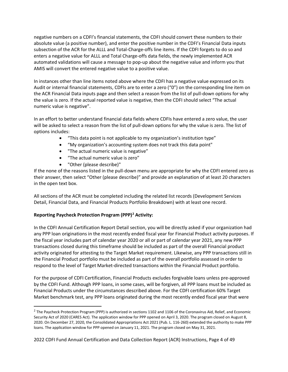negative numbers on a CDFI's financial statements, the CDFI should convert these numbers to their absolute value (a positive number), and enter the positive number in the CDFI's Financial Data inputs subsection of the ACR for the ALLL and Total-Charge-offs line items. If the CDFI forgets to do so and enters a negative value for ALLL and Total Charge-offs data fields, the newly implemented ACR automated validations will cause a message to pop-up about the negative value and inform you that AMIS will convert the entered negative value to a positive value.

In instances other than line items noted above where the CDFI has a negative value expressed on its Audit or internal financial statements, CDFIs are to enter a zero ("0") on the corresponding line item on the ACR Financial Data inputs page and then select a reason from the list of pull-down options for why the value is zero. If the actual reported value is negative, then the CDFI should select "The actual numeric value is negative".

In an effort to better understand financial data fields where CDFIs have entered a zero value, the user will be asked to select a reason from the list of pull-down options for why the value is zero. The list of options includes:

- "This data point is not applicable to my organization's institution type"
- "My organization's accounting system does not track this data point"
- "The actual numeric value is negative"
- "The actual numeric value is zero"
- "Other (please describe)"

If the none of the reasons listed in the pull-down menu are appropriate for why the CDFI entered zero as their answer, then select "Other (please describe)" and provide an explanation of at least 20 characters in the open text box.

All sections of the ACR must be completed including the related list records (Development Services Detail, Financial Data, and Financial Products Portfolio Breakdown) with at least one record.

#### **Reporting Paycheck Protection Program (PPP)[2](#page-3-0) Activity:**

In the CDFI Annual Certification Report Detail section, you will be directly asked if your organization had any PPP loan originations in the most recently ended fiscal year for Financial Product activity purposes. If the fiscal year includes part of calendar year 2020 or all or part of calendar year 2021, any new PPP transactions closed during this timeframe should be included as part of the overall Financial product activity originated for attesting to the Target Market requirement. Likewise, any PPP transactions still in the Financial Product portfolio must be included as part of the overall portfolio assessed in order to respond to the level of Target Market-directed transactions within the Financial Product portfolio.

For the purpose of CDFI Certification, Financial Products excludes forgivable loans unless pre-approved by the CDFI Fund. Although PPP loans, in some cases, will be forgiven, all PPP loans must be included as Financial Products under the circumstances described above. For the CDFI certification 60% Target Market benchmark test, any PPP loans originated during the most recently ended fiscal year that were

<span id="page-3-0"></span> $2$  The Paycheck Protection Program (PPP) is authorized in sections 1102 and 1106 of the Coronavirus Aid, Relief, and Economic Security Act of 2020 (CARES Act). The application window for PPP opened on April 3, 2020. The program closed on August 8, 2020. On December 27, 2020, the Consolidated Appropriations Act 2021 (Pub. L. 116-260) extended the authority to make PPP loans. The application window for PPP opened on January 11, 2021. The program closed on May 31, 2021.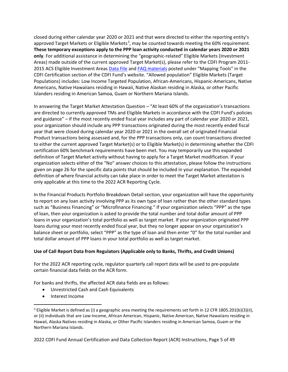closed during either calendar year 2020 or 2021 and that were directed to either the reporting entity's approved Target Markets or Eligible Markets<sup>[3](#page-4-0)</sup>, may be counted towards meeting the 60% requirement. **These temporary exceptions apply to the PPP loan activity conducted in calendar years 2020 or 2021 only**. For additional assistance in determining the "geographic-related" Eligible Markets (Investment Areas) made outside of the current approved Target Market(s), please refer to the CDFI Program 2011- 2015 ACS Eligible Investment Areas [Data File](https://www.cdfifund.gov/Documents/CDFI%20Investment%20Areas%20ACS%202011-2015.xlsb) an[d FAQ materials](https://www.cdfifund.gov/Documents/CDFI%20Investment%20Areas%20potential%20FAQs%20FINAL%20100118.pdf) posted under "Mapping Tools" in the CDFI Certification section of the CDFI Fund's website. "Allowed population" Eligible Markets (Target Populations) includes: Low Income Targeted Population, African-Americans, Hispanic-Americans, Native Americans, Native Hawaiians residing in Hawaii, Native Alaskan residing in Alaska, or other Pacific Islanders residing in American Samoa, Guam or Northern Mariana Islands.

In answering the Target Market Attestation Question – "At least 60% of the organization's transactions are directed to currently approved TMs and Eligible Markets in accordance with the CDFI Fund's policies and guidance" – if the most recently ended fiscal year includes any part of calendar year 2020 or 2021, your organization should include any PPP transactions originated during the most recently ended fiscal year that were closed during calendar year 2020 or 2021 in the overall set of originated Financial Product transactions being assessed and, for the PPP transactions only, can count transactions directed to either the current approved Target Market(s) or to Eligible Market(s) in determining whether the CDFI certification 60% benchmark requirements have been met. You may temporarily use this expanded definition of Target Market activity without having to apply for a Target Market modification. If your organization selects either of the "No" answer choices to this attestation, please follow the instructions given on page 26 for the specific data points that should be included in your explanation. The expanded definition of where financial activity can take place in order to meet the Target Market attestation is only applicable at this time to the 2022 ACR Reporting Cycle.

In the Financial Products Portfolio Breakdown Detail section, your organization will have the opportunity to report on any loan activity involving PPP as its own type of loan rather than the other standard types such as "Business Financing" or "Microfinance Financing." If your organization selects "PPP" as the type of loan, then your organization is asked to provide the total number and total dollar amount of PPP loans in your organization's total portfolio as well as target market. If your organization originated PPP loans during your most recently ended fiscal year, but they no longer appear on your organization's balance sheet or portfolio, select "PPP" as the type of loan and then enter "0" for the total number and total dollar amount of PPP loans in your total portfolio as well as target market.

#### **Use of Call Report Data from Regulators (Applicable only to Banks, Thrifts, and Credit Unions)**

For the 2022 ACR reporting cycle, regulator quarterly call report data will be used to pre-populate certain financial data fields on the ACR form.

For banks and thrifts, the affected ACR data fields are as follows:

- Unrestricted Cash and Cash Equivalents
- Interest Income

<span id="page-4-0"></span> $3$  Eligible Market is defined as (i) a geographic area meeting the requirements set forth in 12 CFR 1805.201(b)(3)(ii), or (ii) individuals that are Low-Income, African American, Hispanic, Native American, Native Hawaiians residing in Hawaii, Alaska Natives residing in Alaska, or Other Pacific Islanders residing in American Samoa, Guam or the Northern Mariana Islands.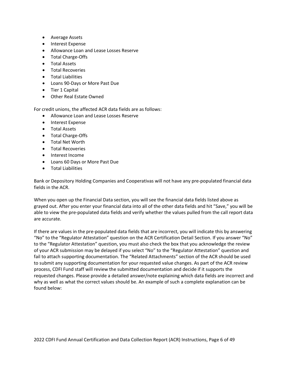- Average Assets
- Interest Expense
- Allowance Loan and Lease Losses Reserve
- Total Charge-Offs
- Total Assets
- Total Recoveries
- Total Liabilities
- Loans 90-Days or More Past Due
- Tier 1 Capital
- Other Real Estate Owned

For credit unions, the affected ACR data fields are as follows:

- Allowance Loan and Lease Losses Reserve
- Interest Expense
- Total Assets
- Total Charge-Offs
- Total Net Worth
- Total Recoveries
- Interest Income
- Loans 60 Days or More Past Due
- Total Liabilities

Bank or Depository Holding Companies and Cooperativas will not have any pre-populated financial data fields in the ACR.

When you open up the Financial Data section, you will see the financial data fields listed above as grayed out. After you enter your financial data into all of the other data fields and hit "Save," you will be able to view the pre-populated data fields and verify whether the values pulled from the call report data are accurate.

If there are values in the pre-populated data fields that are incorrect, you will indicate this by answering "No" to the "Regulator Attestation" question on the ACR Certification Detail Section. If you answer "No" to the "Regulator Attestation" question, you must also check the box that you acknowledge the review of your ACR submission may be delayed if you select "No" to the "Regulator Attestation" question and fail to attach supporting documentation. The "Related Attachments" section of the ACR should be used to submit any supporting documentation for your requested value changes. As part of the ACR review process, CDFI Fund staff will review the submitted documentation and decide if it supports the requested changes. Please provide a detailed answer/note explaining which data fields are incorrect and why as well as what the correct values should be. An example of such a complete explanation can be found below: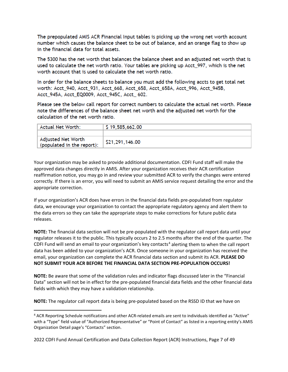The prepopulated AMIS ACR Financial Input tables is picking up the wrong net worth account number which causes the balance sheet to be out of balance, and an orange flag to show up in the financial data for total assets.

The 5300 has the net worth that balances the balance sheet and an adjusted net worth that is used to calculate the net worth ratio. Your tables are picking up Acct 997, which is the net worth account that is used to calculate the net worth ratio.

In order for the balance sheets to balance you must add the following accts to get total net worth: Acct\_940, Acct\_931, Acct\_668, Acct\_658, Acct\_658A, Acct\_996, Acct\_945B, Acct\_945A, Acct\_EQ0009, Acct\_945C, Acct\_ 602.

Please see the below call report for correct numbers to calculate the actual net worth. Please note the differences of the balance sheet net worth and the adjusted net worth for the calculation of the net worth ratio.

| Actual Net Worth:                                | \$19,585,662.00 |
|--------------------------------------------------|-----------------|
|                                                  |                 |
| Adjusted Net Worth<br>(populated in the report): | \$21,291,146.00 |

Your organization may be asked to provide additional documentation. CDFI Fund staff will make the approved data changes directly in AMIS. After your organization receives their ACR certification reaffirmation notice, you may go in and review your submitted ACR to verify the changes were entered correctly. If there is an error, you will need to submit an AMIS service request detailing the error and the appropriate correction.

If your organization's ACR does have errors in the financial data fields pre-populated from regulator data, we encourage your organization to contact the appropriate regulatory agency and alert them to the data errors so they can take the appropriate steps to make corrections for future public data releases.

**NOTE:** The financial data section will not be pre-populated with the regulator call report data until your regulator releases it to the public. This typically occurs 2 to 2.5 months after the end of the quarter. The CDFI Fund will send an email to your organization's key contacts<sup>[4](#page-6-0)</sup> alerting them to when the call report data has been added to your organization's ACR. Once someone in your organization has received the email, your organization can complete the ACR financial data section and submit its ACR. **PLEASE DO NOT SUBMIT YOUR ACR BEFORE THE FINANCIAL DATA SECTION PRE-POPULATION OCCURS!**

**NOTE:** Be aware that some of the validation rules and indicator flags discussed later in the "Financial Data" section will not be in effect for the pre-populated financial data fields and the other financial data fields with which they may have a validation relationship.

**NOTE:** The regulator call report data is being pre-populated based on the RSSD ID that we have on

<span id="page-6-0"></span> <sup>4</sup> ACR Reporting Schedule notifications and other ACR-related emails are sent to individuals identified as "Active" with a "Type" field value of "Authorized Representative" or "Point of Contact" as listed in a reporting entity's AMIS Organization Detail page's "Contacts" section.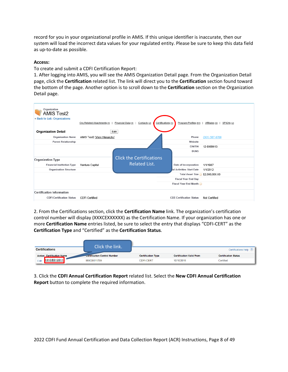record for you in your organizational profile in AMIS. If this unique identifier is inaccurate, then our system will load the incorrect data values for your regulated entity. Please be sure to keep this data field as up-to-date as possible.

#### **Access:**

To create and submit a CDFI Certification Report:

1. After logging into AMIS, you will see the AMIS Organization Detail page. From the Organization Detail page, click the **Certification** related list. The link will direct you to the **Certification** section found toward the bottom of the page. Another option is to scroll down to the **Certification** section on the Organization Detail page.

| Organization<br><b>AMIS Test2</b><br>« Back to List: Organizations | Org Related Attachments [4] | Certifications [1]<br>Financial Data [4]<br>Contacts <sup>[2]</sup> | Program Profiles [5+]           | Affiliates [0]<br>SF424s [2] |
|--------------------------------------------------------------------|-----------------------------|---------------------------------------------------------------------|---------------------------------|------------------------------|
| <b>Organization Detail</b>                                         |                             | Edit                                                                |                                 |                              |
| <b>Organization Name</b>                                           | AMIS Test2 [View Hierarchy] |                                                                     | Phone                           | $(301) 567 - 8700$           |
| <b>Parent Relationship</b>                                         |                             |                                                                     | Website                         |                              |
|                                                                    |                             |                                                                     | <b>EIN/TIN</b>                  | 12-8989013                   |
|                                                                    |                             |                                                                     | <b>DUNS</b>                     |                              |
| <b>Organization Type</b>                                           |                             | <b>Click the Certifications</b>                                     |                                 |                              |
| <b>Financial Institution Type</b>                                  | Venture Capital             | <b>Related List.</b>                                                | Date of Incorporation           | 1/1/1987                     |
| <b>Organization Structure</b>                                      |                             |                                                                     | al Activities Start Date        | 1/1/2012                     |
|                                                                    |                             |                                                                     | Total Asset Size \$2,000,000.00 |                              |
|                                                                    |                             |                                                                     | <b>Fiscal Year End Day</b>      |                              |
|                                                                    |                             |                                                                     | <b>Fiscal Year End Month</b>    |                              |
| <b>Certification Information</b>                                   |                             |                                                                     |                                 |                              |
| <b>CDFI Certification Status</b>                                   | <b>CDFI</b> Certified       |                                                                     | <b>CDE Certification Status</b> | Not Certified                |

2. From the Certifications section, click the **Certification Name** link. The organization's certification control number will display (XXXCEXXXXXX) as the Certification Name. If your organization has one or more **Certification Name** entries listed, be sure to select the entry that displays "CDFI-CERT" as the **Certification Type** and "Certified" as the **Certification Status**.

|                                  | Click the link.                     |                           |                                 |                             |
|----------------------------------|-------------------------------------|---------------------------|---------------------------------|-----------------------------|
| <b>Certifications</b>            |                                     |                           |                                 | <b>Certifications Help</b>  |
| <b>Action Certification Name</b> | <b>Certification Control Number</b> | <b>Certification Type</b> | <b>Certification Valid From</b> | <b>Certification Status</b> |
| 131CE012011<br>Edit              | 999CE011799                         | <b>CDFI-CFRT</b>          | 10/10/2015                      | Certified                   |

3. Click the **CDFI Annual Certification Report** related list. Select the **New CDFI Annual Certification Report** button to complete the required information.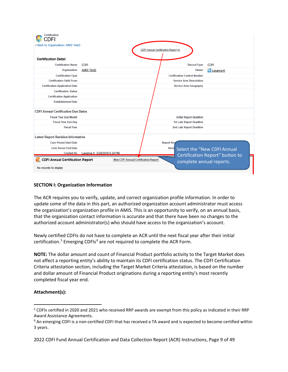| Certification<br>:DFI                      |                              |                                             |                                      |                   |                                     |                                 |
|--------------------------------------------|------------------------------|---------------------------------------------|--------------------------------------|-------------------|-------------------------------------|---------------------------------|
| « Back to Organization: AMIS Test2         |                              |                                             | CDFI Annual Certification Report [0] |                   |                                     |                                 |
| <b>Certification Detail</b>                |                              |                                             |                                      |                   |                                     |                                 |
| <b>Certification Name</b>                  | CDFI                         |                                             |                                      |                   | <b>Record Type</b>                  | CDFI                            |
| Organization                               | AMIS Test2                   |                                             |                                      |                   | Owner                               | <sup>o</sup> Lavanya K          |
| <b>Certification Type</b>                  |                              |                                             |                                      |                   | <b>Certification Control Number</b> |                                 |
| <b>Certification Valid From</b>            |                              |                                             |                                      |                   | <b>Service Area Description</b>     |                                 |
| <b>Certification Application Date</b>      |                              |                                             |                                      |                   | Service Area Geography              |                                 |
| <b>Certification Status</b>                |                              |                                             |                                      |                   |                                     |                                 |
| <b>Certification Application</b>           |                              |                                             |                                      |                   |                                     |                                 |
| <b>Establishment Date</b>                  |                              |                                             |                                      |                   |                                     |                                 |
| <b>CDFI Annual Certification Due Dates</b> |                              |                                             |                                      |                   |                                     |                                 |
| <b>Fiscal Year End Month</b>               |                              |                                             |                                      |                   | <b>Initial Report Deadline</b>      |                                 |
| <b>Fiscal Year End Day</b>                 |                              |                                             |                                      |                   | <b>1st Late Report Deadline</b>     |                                 |
| <b>Fiscal Year</b>                         |                              |                                             |                                      |                   | 2nd Late Report Deadline            |                                 |
| <b>Latest Report Revision Information</b>  |                              |                                             |                                      |                   |                                     |                                 |
| <b>Cure Period Start Date</b>              |                              |                                             |                                      | <b>Report Rey</b> |                                     |                                 |
| <b>Cure Period End Date</b>                |                              |                                             |                                      | Revis             |                                     | Select the "New CDFI Annual     |
| <b>Created By</b>                          | Lavanya K. 2/24/2016 5:24 PM |                                             |                                      |                   |                                     | Certification Report" button to |
| <b>CDFI Annual Certification Report</b>    |                              | <b>New CDFI Annual Certification Report</b> |                                      |                   |                                     | complete annual reports.        |
| No records to display                      |                              |                                             |                                      |                   |                                     |                                 |

#### **SECTION I: Organization Information**

The ACR requires you to verify, update, and correct organization profile information. In order to update some of the data in this part, an authorized organization account administrator must access the organization's organization profile in AMIS. This is an opportunity to verify, on an annual basis, that the organization contact information is accurate and that there have been no changes to the authorized account administrator(s) who should have access to the organization's account.

Newly certified CDFIs do not have to complete an ACR until the next fiscal year after their initial certification.<sup>[5](#page-8-0)</sup> Emerging CDFIs<sup>6</sup> are not required to complete the ACR Form.

**NOTE:** The dollar amount and count of Financial Product portfolio activity to the Target Market does not affect a reporting entity's ability to maintain its CDFI certification status. The CDFI Certification Criteria attestation section, including the Target Market Criteria attestation, is based on the number and dollar amount of Financial Product originations during a reporting entity's most recently completed fiscal year end.

#### **Attachment(s):**

<span id="page-8-0"></span><sup>&</sup>lt;sup>5</sup> CDFIs certified in 2020 and 2021 who received RRP awards are exempt from this policy as indicated in their RRP Award Assistance Agreements.

<span id="page-8-1"></span> $6$  An emerging CDFI is a non-certified CDFI that has received a TA award and is expected to become certified within 3 years.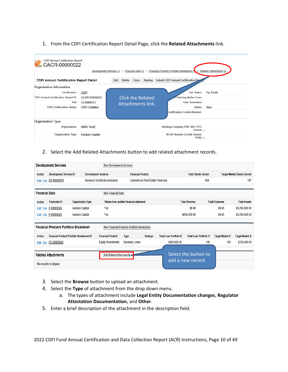#### 1. From the CDFI Certification Report Detail Page, click the **Related Attachments** link.

| <b>CDFI Annual Certification Report</b><br>CACR-00000022<br>Related Attachments [0]<br>Financial Products Portfolio Breakdown [1]<br>Financial Data [2]<br>Development Services [1] |                                                       |                                               |                                                                                                                                           |  |  |  |  |
|-------------------------------------------------------------------------------------------------------------------------------------------------------------------------------------|-------------------------------------------------------|-----------------------------------------------|-------------------------------------------------------------------------------------------------------------------------------------------|--|--|--|--|
| <b>CDFI Annual Certification Report Detail</b>                                                                                                                                      |                                                       | Sharing<br>Edit<br>Delete<br>Clone            | Submit CDFI Annual Certification Rep                                                                                                      |  |  |  |  |
| <b>Organization Information</b><br>Certification<br><b>CDFI Annual Certification Report ID</b><br>EIN<br><b>CDFI Certification Status</b>                                           | CDFI<br>CACR-00000022<br>12-8989013<br>CDFI Certified | <b>Click the Related</b><br>Attachments link. | <b>Tax Status</b><br><b>For Profit</b><br>1 Serving Native Com.<br>Date Submitted<br><b>Status</b><br>New<br>Certification Control Number |  |  |  |  |
| <b>Organization Type</b><br>Organization                                                                                                                                            | AMIS Test2                                            |                                               | Holding Company FDIC ID# / OTS<br>Docket <sub>2</sub>                                                                                     |  |  |  |  |
| <b>Organization Type</b>                                                                                                                                                            | Venture Capital                                       |                                               | <b>NCUA Number (Credit Unions</b><br>Only) $\odot$                                                                                        |  |  |  |  |

#### 2. Select the Add Related Attachments button to add related attachment records.

|                       | <b>Development Services</b>                         |                          |                             | <b>New Development Services</b>            |                       |                                  |         |                                |                                           |                        |                       |                                     |  |
|-----------------------|-----------------------------------------------------|--------------------------|-----------------------------|--------------------------------------------|-----------------------|----------------------------------|---------|--------------------------------|-------------------------------------------|------------------------|-----------------------|-------------------------------------|--|
| Action                | <b>Development Services ID</b>                      |                          | <b>Development Services</b> |                                            |                       | <b>Financial Product</b>         |         |                                | <b>Total Clients Served</b>               |                        |                       | <b>Target Market Clients Served</b> |  |
| Edit   Del            | DS-00000019                                         |                          |                             | <b>Business Technical Assistance</b>       |                       | Commerical Real Estate Financing |         |                                | 800                                       |                        |                       | 747                                 |  |
| <b>Financial Data</b> |                                                     |                          |                             | New Financial Data                         |                       |                                  |         |                                |                                           |                        |                       |                                     |  |
| Action                | <b>Financials ID</b>                                | <b>Organization Type</b> |                             | Values from audited financial statement    |                       |                                  |         |                                | <b>Total Revenue</b>                      |                        | <b>Total Expenses</b> | <b>Total Assets</b>                 |  |
| Edit   Del            | F-00000020                                          | Venture Capital          |                             | Yes                                        |                       |                                  |         |                                | \$9.00                                    |                        | \$9.00                | \$9,250,000.00                      |  |
|                       | Edit   Del F-00000025                               | Venture Capital          |                             | Yes                                        |                       |                                  |         |                                | \$659,000.00                              |                        | \$9.00                | \$9,250,000.00                      |  |
|                       | Financial Products Portfolio Breakdown              |                          |                             | New Financial Products Portfolio Breakdown |                       |                                  |         |                                |                                           |                        |                       |                                     |  |
| Action                | Financial Product Portfolio Breakdown ID            |                          |                             | <b>Financial Product</b>                   | Type                  |                                  | Subtype | <b>Total Loan Portfolio \$</b> |                                           | Total Loan Portfolio # | Target Market#        | <b>Target Market \$</b>             |  |
| Edit   Del            | FP-00000019                                         |                          |                             | <b>Equity Investments</b>                  | <b>Business Loans</b> |                                  |         | \$450,000.00                   |                                           | 100                    | 100                   | \$250,000.00                        |  |
|                       | <b>Related Attachments</b><br>No records to display |                          |                             | <b>Add Related Attachments</b>             |                       |                                  |         |                                | Select the button to<br>add a new record. |                        |                       |                                     |  |

- 3. Select the **Browse** button to upload an attachment.
- 4. Select the **Type** of attachment from the drop down menu.
	- a. The types of attachment include **Legal Entity Documentation changes**, **Regulator Attestation Documentation**, and **Other**.
- 5. Enter a brief description of the attachment in the description field.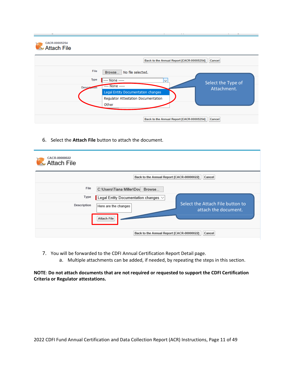| CACR-00005254<br><b>Attach File</b> |                    |                                                                                                             |  |
|-------------------------------------|--------------------|-------------------------------------------------------------------------------------------------------------|--|
|                                     |                    | Back to the Annual Report [CACR-00005254]<br>Cancel                                                         |  |
|                                     | File               | No file selected.<br>Browse                                                                                 |  |
|                                     | Type               | ---- None -----<br>$\check{ }$<br>Select the Type of                                                        |  |
|                                     | <b>Description</b> | ---- None -----<br>Attachment.<br>Legal Entity Documentation changes<br>Regulator Attestation Documentation |  |
|                                     |                    | Other                                                                                                       |  |
|                                     |                    | Back to the Annual Report [CACR-00005254]<br>Cancel                                                         |  |

6. Select the **Attach File** button to attach the document.

| CACR-00000022<br><b>Attach File</b> |                                            |                                                          |
|-------------------------------------|--------------------------------------------|----------------------------------------------------------|
|                                     | Back to the Annual Report [CACR-00000022]  | Cancel                                                   |
| File                                | C:\Users\Tiana Miller\Dov Browse           |                                                          |
| Type                                | Legal Entity Documentation changes $\vee$  |                                                          |
| Description                         | Here are the changes<br><b>Attach File</b> | Select the Attach File button to<br>attach the document. |
|                                     | Back to the Annual Report [CACR-00000022]  | Cancel                                                   |

- 7. You will be forwarded to the CDFI Annual Certification Report Detail page.
	- a. Multiple attachments can be added, if needed, by repeating the steps in this section.

**NOTE**: **Do not attach documents that are not required or requested to support the CDFI Certification Criteria or Regulator attestations.**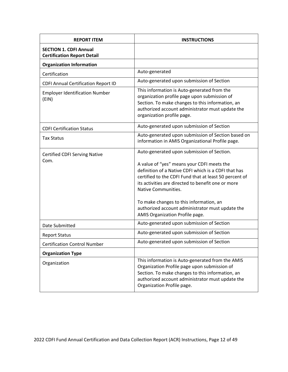<span id="page-11-0"></span>

| <b>REPORT ITEM</b>                                                  | <b>INSTRUCTIONS</b>                                                                                                                                                                                                                                                                                                                                                                                                       |
|---------------------------------------------------------------------|---------------------------------------------------------------------------------------------------------------------------------------------------------------------------------------------------------------------------------------------------------------------------------------------------------------------------------------------------------------------------------------------------------------------------|
| <b>SECTION 1. CDFI Annual</b><br><b>Certification Report Detail</b> |                                                                                                                                                                                                                                                                                                                                                                                                                           |
| <b>Organization Information</b>                                     |                                                                                                                                                                                                                                                                                                                                                                                                                           |
| Certification                                                       | Auto-generated                                                                                                                                                                                                                                                                                                                                                                                                            |
| <b>CDFI Annual Certification Report ID</b>                          | Auto-generated upon submission of Section                                                                                                                                                                                                                                                                                                                                                                                 |
| <b>Employer Identification Number</b><br>(EIN)                      | This information is Auto-generated from the<br>organization profile page upon submission of<br>Section. To make changes to this information, an<br>authorized account administrator must update the<br>organization profile page.                                                                                                                                                                                         |
| <b>CDFI Certification Status</b>                                    | Auto-generated upon submission of Section                                                                                                                                                                                                                                                                                                                                                                                 |
| <b>Tax Status</b>                                                   | Auto-generated upon submission of Section based on<br>information in AMIS Organizational Profile page.                                                                                                                                                                                                                                                                                                                    |
| <b>Certified CDFI Serving Native</b><br>Com.                        | Auto-generated upon submission of Section.<br>A value of "yes" means your CDFI meets the<br>definition of a Native CDFI which is a CDFI that has<br>certified to the CDFI Fund that at least 50 percent of<br>its activities are directed to benefit one or more<br>Native Communities.<br>To make changes to this information, an<br>authorized account administrator must update the<br>AMIS Organization Profile page. |
| Date Submitted                                                      | Auto-generated upon submission of Section                                                                                                                                                                                                                                                                                                                                                                                 |
| <b>Report Status</b>                                                | Auto-generated upon submission of Section                                                                                                                                                                                                                                                                                                                                                                                 |
| <b>Certification Control Number</b>                                 | Auto-generated upon submission of Section                                                                                                                                                                                                                                                                                                                                                                                 |
| <b>Organization Type</b>                                            |                                                                                                                                                                                                                                                                                                                                                                                                                           |
| Organization                                                        | This information is Auto-generated from the AMIS<br>Organization Profile page upon submission of<br>Section. To make changes to this information, an<br>authorized account administrator must update the<br>Organization Profile page.                                                                                                                                                                                    |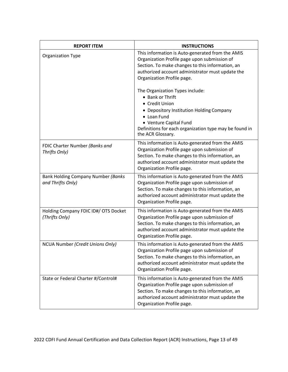| <b>REPORT ITEM</b>                                      | <b>INSTRUCTIONS</b>                                                                                                                                                                                                                                                                                             |
|---------------------------------------------------------|-----------------------------------------------------------------------------------------------------------------------------------------------------------------------------------------------------------------------------------------------------------------------------------------------------------------|
| <b>Organization Type</b>                                | This information is Auto-generated from the AMIS<br>Organization Profile page upon submission of<br>Section. To make changes to this information, an<br>authorized account administrator must update the<br>Organization Profile page.<br>The Organization Types include:<br>• Bank or Thrift<br>• Credit Union |
|                                                         | • Depository Institution Holding Company<br>• Loan Fund<br>• Venture Capital Fund<br>Definitions for each organization type may be found in<br>the ACR Glossary.                                                                                                                                                |
| FDIC Charter Number (Banks and<br>Thrifts Only)         | This information is Auto-generated from the AMIS<br>Organization Profile page upon submission of<br>Section. To make changes to this information, an<br>authorized account administrator must update the<br>Organization Profile page.                                                                          |
| Bank Holding Company Number (Banks<br>and Thrifts Only) | This information is Auto-generated from the AMIS<br>Organization Profile page upon submission of<br>Section. To make changes to this information, an<br>authorized account administrator must update the<br>Organization Profile page.                                                                          |
| Holding Company FDIC ID#/ OTS Docket<br>(Thrifts Only)  | This information is Auto-generated from the AMIS<br>Organization Profile page upon submission of<br>Section. To make changes to this information, an<br>authorized account administrator must update the<br>Organization Profile page.                                                                          |
| NCUA Number (Credit Unions Only)                        | This information is Auto-generated from the AMIS<br>Organization Profile page upon submission of<br>Section. To make changes to this information, an<br>authorized account administrator must update the<br>Organization Profile page.                                                                          |
| State or Federal Charter #/Control#                     | This information is Auto-generated from the AMIS<br>Organization Profile page upon submission of<br>Section. To make changes to this information, an<br>authorized account administrator must update the<br>Organization Profile page.                                                                          |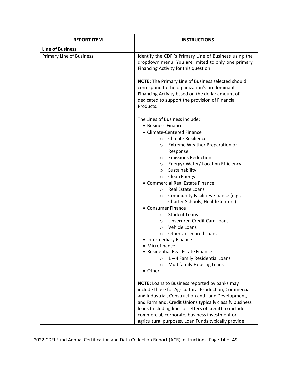| <b>REPORT ITEM</b>              | <b>INSTRUCTIONS</b>                                                                                                                                                                                                                                                                                  |
|---------------------------------|------------------------------------------------------------------------------------------------------------------------------------------------------------------------------------------------------------------------------------------------------------------------------------------------------|
| <b>Line of Business</b>         |                                                                                                                                                                                                                                                                                                      |
| <b>Primary Line of Business</b> | Identify the CDFI's Primary Line of Business using the<br>dropdown menu. You arelimited to only one primary<br>Financing Activity for this question.                                                                                                                                                 |
|                                 | <b>NOTE:</b> The Primary Line of Business selected should<br>correspond to the organization's predominant<br>Financing Activity based on the dollar amount of<br>dedicated to support the provision of Financial<br>Products.                                                                        |
|                                 | The Lines of Business include:<br>• Business Finance<br>• Climate-Centered Finance<br><b>Climate Resilience</b><br>$\circ$                                                                                                                                                                           |
|                                 | <b>Extreme Weather Preparation or</b><br>$\circ$<br>Response<br><b>Emissions Reduction</b><br>$\circ$<br>Energy/ Water/ Location Efficiency<br>$\circ$<br>Sustainability<br>$\circ$<br>Clean Energy<br>$\circ$                                                                                       |
|                                 | • Commercial Real Estate Finance<br><b>Real Estate Loans</b><br>$\circ$<br>Community Facilities Finance (e.g.,<br>$\circ$<br>Charter Schools, Health Centers)                                                                                                                                        |
|                                 | • Consumer Finance<br><b>Student Loans</b><br>$\circ$<br><b>Unsecured Credit Card Loans</b><br>$\circ$<br>Vehicle Loans<br>$\circ$<br><b>Other Unsecured Loans</b>                                                                                                                                   |
|                                 | $\circ$<br>• Intermediary Finance<br>• Microfinance<br>• Residential Real Estate Finance<br>$1 - 4$ Family Residential Loans<br>$\circ$<br><b>Multifamily Housing Loans</b><br>$\circ$                                                                                                               |
|                                 | • Other<br><b>NOTE:</b> Loans to Business reported by banks may<br>include those for Agricultural Production, Commercial<br>and Industrial, Construction and Land Development,<br>and Farmland. Credit Unions typically classify business<br>loans (including lines or letters of credit) to include |
|                                 | commercial, corporate, business investment or<br>agricultural purposes. Loan Funds typically provide                                                                                                                                                                                                 |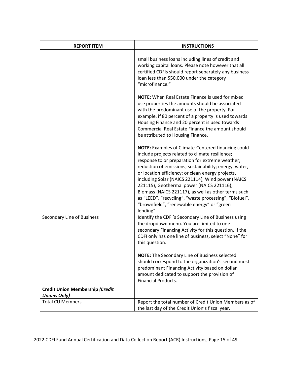| <b>REPORT ITEM</b>                                     | <b>INSTRUCTIONS</b>                                                                                                                                                                                                                                                                                                                                                                                                                                                                                                                                          |
|--------------------------------------------------------|--------------------------------------------------------------------------------------------------------------------------------------------------------------------------------------------------------------------------------------------------------------------------------------------------------------------------------------------------------------------------------------------------------------------------------------------------------------------------------------------------------------------------------------------------------------|
|                                                        | small business loans including lines of credit and<br>working capital loans. Please note however that all<br>certified CDFIs should report separately any business<br>loan less than \$50,000 under the category<br>"microfinance."                                                                                                                                                                                                                                                                                                                          |
|                                                        | <b>NOTE:</b> When Real Estate Finance is used for mixed<br>use properties the amounts should be associated<br>with the predominant use of the property. For<br>example, if 80 percent of a property is used towards<br>Housing Finance and 20 percent is used towards<br>Commercial Real Estate Finance the amount should<br>be attributed to Housing Finance.                                                                                                                                                                                               |
|                                                        | <b>NOTE:</b> Examples of Climate-Centered financing could<br>include projects related to climate resilience;<br>response to or preparation for extreme weather;<br>reduction of emissions; sustainability; energy, water,<br>or location efficiency; or clean energy projects,<br>including Solar (NAICS 221114), Wind power (NAICS<br>221115), Geothermal power (NAICS 221116),<br>Biomass (NAICS 221117), as well as other terms such<br>as "LEED", "recycling", "waste processing", "Biofuel",<br>"brownfield", "renewable energy" or "green<br>lending". |
| Secondary Line of Business                             | Identify the CDFI's Secondary Line of Business using<br>the dropdown menu. You are limited to one<br>secondary Financing Activity for this question. If the<br>CDFI only has one line of business, select "None" for<br>this question.                                                                                                                                                                                                                                                                                                                       |
|                                                        | <b>NOTE:</b> The Secondary Line of Business selected<br>should correspond to the organization's second most<br>predominant Financing Activity based on dollar<br>amount dedicated to support the provision of<br><b>Financial Products.</b>                                                                                                                                                                                                                                                                                                                  |
| Credit Union Membership (Credit<br><b>Unions Only)</b> |                                                                                                                                                                                                                                                                                                                                                                                                                                                                                                                                                              |
| <b>Total CU Members</b>                                | Report the total number of Credit Union Members as of<br>the last day of the Credit Union's fiscal year.                                                                                                                                                                                                                                                                                                                                                                                                                                                     |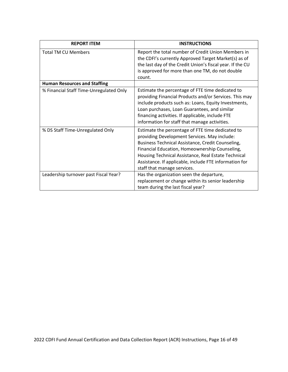| <b>REPORT ITEM</b>                      | <b>INSTRUCTIONS</b>                                                                                                                                                                                                                                                                                                                                     |
|-----------------------------------------|---------------------------------------------------------------------------------------------------------------------------------------------------------------------------------------------------------------------------------------------------------------------------------------------------------------------------------------------------------|
| <b>Total TM CU Members</b>              | Report the total number of Credit Union Members in<br>the CDFI's currently Approved Target Market(s) as of<br>the last day of the Credit Union's fiscal year. If the CU<br>is approved for more than one TM, do not double<br>count.                                                                                                                    |
| <b>Human Resources and Staffing</b>     |                                                                                                                                                                                                                                                                                                                                                         |
| % Financial Staff Time-Unregulated Only | Estimate the percentage of FTE time dedicated to<br>providing Financial Products and/or Services. This may<br>include products such as: Loans, Equity Investments,<br>Loan purchases, Loan Guarantees, and similar<br>financing activities. If applicable, include FTE<br>information for staff that manage activities.                                 |
| % DS Staff Time-Unregulated Only        | Estimate the percentage of FTE time dedicated to<br>providing Development Services. May include:<br>Business Technical Assistance, Credit Counseling,<br>Financial Education, Homeownership Counseling,<br>Housing Technical Assistance, Real Estate Technical<br>Assistance. If applicable, include FTE information for<br>staff that manage services. |
| Leadership turnover past Fiscal Year?   | Has the organization seen the departure,<br>replacement or change within its senior leadership<br>team during the last fiscal year?                                                                                                                                                                                                                     |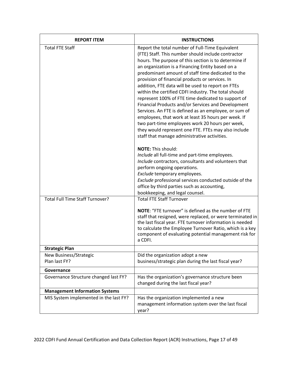| <b>REPORT ITEM</b>                      | <b>INSTRUCTIONS</b>                                                                                                                                                                                                                                                                                                                                                                                                                                                                                                                                                                                                                                                                                                                                                                                                           |
|-----------------------------------------|-------------------------------------------------------------------------------------------------------------------------------------------------------------------------------------------------------------------------------------------------------------------------------------------------------------------------------------------------------------------------------------------------------------------------------------------------------------------------------------------------------------------------------------------------------------------------------------------------------------------------------------------------------------------------------------------------------------------------------------------------------------------------------------------------------------------------------|
| <b>Total FTE Staff</b>                  | Report the total number of Full-Time Equivalent<br>(FTE) Staff. This number should include contractor<br>hours. The purpose of this section is to determine if<br>an organization is a Financing Entity based on a<br>predominant amount of staff time dedicated to the<br>provision of financial products or services. In<br>addition, FTE data will be used to report on FTEs<br>within the certified CDFI industry. The total should<br>represent 100% of FTE time dedicated to support of<br>Financial Products and/or Services and Development<br>Services. An FTE is defined as an employee, or sum of<br>employees, that work at least 35 hours per week. If<br>two part-time employees work 20 hours per week,<br>they would represent one FTE. FTEs may also include<br>staff that manage administrative activities. |
|                                         | NOTE: This should:<br>Include all full-time and part-time employees.<br>Include contractors, consultants and volunteers that<br>perform ongoing operations.<br>Exclude temporary employees.<br>Exclude professional services conducted outside of the<br>office by third parties such as accounting,<br>bookkeeping, and legal counsel.                                                                                                                                                                                                                                                                                                                                                                                                                                                                                       |
| <b>Total Full Time Staff Turnover?</b>  | <b>Total FTE Staff Turnover</b><br>NOTE: "FTE turnover" is defined as the number of FTE<br>staff that resigned, were replaced, or were terminated in<br>the last fiscal year. FTE turnover information is needed<br>to calculate the Employee Turnover Ratio, which is a key<br>component of evaluating potential management risk for<br>a CDFI.                                                                                                                                                                                                                                                                                                                                                                                                                                                                              |
| <b>Strategic Plan</b>                   |                                                                                                                                                                                                                                                                                                                                                                                                                                                                                                                                                                                                                                                                                                                                                                                                                               |
| New Business/Strategic<br>Plan last FY? | Did the organization adopt a new<br>business/strategic plan during the last fiscal year?                                                                                                                                                                                                                                                                                                                                                                                                                                                                                                                                                                                                                                                                                                                                      |
| Governance                              |                                                                                                                                                                                                                                                                                                                                                                                                                                                                                                                                                                                                                                                                                                                                                                                                                               |
| Governance Structure changed last FY?   | Has the organization's governance structure been<br>changed during the last fiscal year?                                                                                                                                                                                                                                                                                                                                                                                                                                                                                                                                                                                                                                                                                                                                      |
| <b>Management Information Systems</b>   |                                                                                                                                                                                                                                                                                                                                                                                                                                                                                                                                                                                                                                                                                                                                                                                                                               |
| MIS System implemented in the last FY?  | Has the organization implemented a new<br>management information system over the last fiscal<br>year?                                                                                                                                                                                                                                                                                                                                                                                                                                                                                                                                                                                                                                                                                                                         |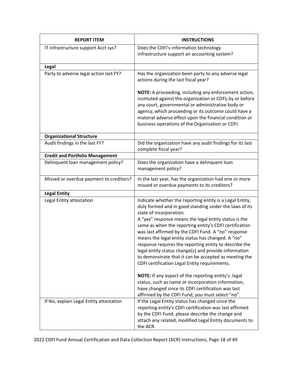| <b>REPORT ITEM</b>                      | <b>INSTRUCTIONS</b>                                                                                                                                                                                                                                                                                                                                                                                                                                                                                                                                                                                       |
|-----------------------------------------|-----------------------------------------------------------------------------------------------------------------------------------------------------------------------------------------------------------------------------------------------------------------------------------------------------------------------------------------------------------------------------------------------------------------------------------------------------------------------------------------------------------------------------------------------------------------------------------------------------------|
| IT infrastructure support Acct sys?     | Does the CDFI's information technology<br>infrastructure support an accounting system?                                                                                                                                                                                                                                                                                                                                                                                                                                                                                                                    |
| Legal                                   |                                                                                                                                                                                                                                                                                                                                                                                                                                                                                                                                                                                                           |
| Party to adverse legal action last FY?  | Has the organization been party to any adverse legal<br>actions during the last fiscal year?                                                                                                                                                                                                                                                                                                                                                                                                                                                                                                              |
|                                         | NOTE: A proceeding, including any enforcement action,<br>instituted against the organization or CDFI, by or before<br>any court, governmental or administrative body or<br>agency, which proceeding or its outcome could have a<br>material adverse effect upon the financial condition or<br>business operations of the Organization or CDFI.                                                                                                                                                                                                                                                            |
| <b>Organizational Structure</b>         |                                                                                                                                                                                                                                                                                                                                                                                                                                                                                                                                                                                                           |
| Audit findings in the last FY?          | Did the organization have any audit findings for its last<br>complete fiscal year?                                                                                                                                                                                                                                                                                                                                                                                                                                                                                                                        |
| <b>Credit and Portfolio Management</b>  |                                                                                                                                                                                                                                                                                                                                                                                                                                                                                                                                                                                                           |
| Delinquent loan management policy?      | Does the organization have a delinquent loan<br>management policy?                                                                                                                                                                                                                                                                                                                                                                                                                                                                                                                                        |
| Missed or overdue payment to creditors? | In the last year, has the organization had one or more<br>missed or overdue payments to its creditors?                                                                                                                                                                                                                                                                                                                                                                                                                                                                                                    |
| <b>Legal Entity</b>                     |                                                                                                                                                                                                                                                                                                                                                                                                                                                                                                                                                                                                           |
| Legal Entity attestation                | Indicate whether the reporting entity is a Legal Entity,<br>duly formed and in good standing under the laws of its<br>state of incorporation.<br>A "yes" response means the legal entity status is the<br>same as when the reporting entity's CDFI certification<br>was last affirmed by the CDFI Fund. A "no" response<br>means the legal entity status has changed. A "no"<br>response requires the reporting entity to describe the<br>legal entity status change(s) and provide information<br>to demonstrate that it can be accepted as meeting the<br>CDFI certification Legal Entity requirements. |
|                                         | NOTE: If any aspect of the reporting entity's legal<br>status, such as name or incorporation information,<br>have changed since its CDFI certification was last<br>affirmed by the CDFI Fund, you must select "no".                                                                                                                                                                                                                                                                                                                                                                                       |
| If No, explain Legal Entity attestation | If the Legal Entity status has changed since the<br>reporting entity's CDFI certification was last affirmed<br>by the CDFI Fund, please describe the change and<br>attach any related, modified Legal Entity documents to<br>the ACR.                                                                                                                                                                                                                                                                                                                                                                     |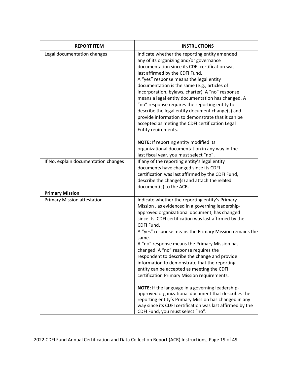| <b>REPORT ITEM</b>                   | <b>INSTRUCTIONS</b>                                                                                                                                                                                                                                                                                                                                                                                                                                                                                                                                                                                                    |
|--------------------------------------|------------------------------------------------------------------------------------------------------------------------------------------------------------------------------------------------------------------------------------------------------------------------------------------------------------------------------------------------------------------------------------------------------------------------------------------------------------------------------------------------------------------------------------------------------------------------------------------------------------------------|
| Legal documentation changes          | Indicate whether the reporting entity amended<br>any of its organizing and/or governance<br>documentation since its CDFI certification was<br>last affirmed by the CDFI Fund.<br>A "yes" response means the legal entity<br>documentation is the same (e.g., articles of<br>incorporation, bylaws, charter). A "no" response<br>means a legal entity documentation has changed. A<br>"no" response requires the reporting entity to<br>describe the legal entity document change(s) and<br>provide information to demonstrate that it can be<br>accepted as meting the CDFI certification Legal<br>Entity reuirements. |
|                                      | NOTE: If reporting entity modified its<br>organizational documentation in any way in the<br>last fiscal year, you must select "no".                                                                                                                                                                                                                                                                                                                                                                                                                                                                                    |
| If No, explain documentation changes | If any of the reporting entity's legal entity<br>documents have changed since its CDFI<br>certification was last affirmed by the CDFI Fund,<br>describe the change(s) and attach the related<br>document(s) to the ACR.                                                                                                                                                                                                                                                                                                                                                                                                |
| <b>Primary Mission</b>               |                                                                                                                                                                                                                                                                                                                                                                                                                                                                                                                                                                                                                        |
| <b>Primary Mission attestation</b>   | Indicate whether the reporting entity's Primary<br>Mission, as evidenced in a governing leadership-<br>approved organizational document, has changed<br>since its CDFI certification was last affirmed by the<br>CDFI Fund.<br>A "yes" response means the Primary Mission remains the<br>same.<br>A "no" response means the Primary Mission has<br>changed. A "no" response requires the<br>respondent to describe the change and provide<br>information to demonstrate that the reporting<br>entity can be accepted as meeting the CDFI<br>certification Primary Mission requirements.                                |
|                                      | NOTE: If the language in a governing leadership-<br>approved organizational document that describes the<br>reporting entity's Primary Mission has changed in any<br>way since its CDFI certification was last affirmed by the<br>CDFI Fund, you must select "no".                                                                                                                                                                                                                                                                                                                                                      |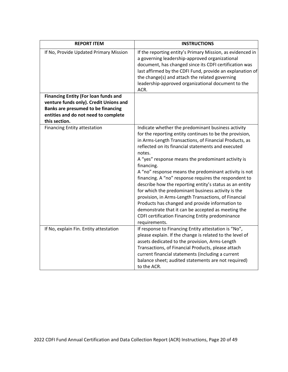| <b>REPORT ITEM</b>                                                                  | <b>INSTRUCTIONS</b>                                                                                                                                                                                                                                                                                                                                                                                                                                                                                                                                                                                                                                                                                                                                                                  |
|-------------------------------------------------------------------------------------|--------------------------------------------------------------------------------------------------------------------------------------------------------------------------------------------------------------------------------------------------------------------------------------------------------------------------------------------------------------------------------------------------------------------------------------------------------------------------------------------------------------------------------------------------------------------------------------------------------------------------------------------------------------------------------------------------------------------------------------------------------------------------------------|
| If No, Provide Updated Primary Mission                                              | If the reporting entity's Primary Mission, as evidenced in<br>a governing leadership-approved organizational<br>document, has changed since its CDFI certification was<br>last affirmed by the CDFI Fund, provide an explanation of<br>the change(s) and attach the related governing<br>leadership-approved organizational document to the<br>ACR.                                                                                                                                                                                                                                                                                                                                                                                                                                  |
| <b>Financing Entity (For loan funds and</b>                                         |                                                                                                                                                                                                                                                                                                                                                                                                                                                                                                                                                                                                                                                                                                                                                                                      |
| venture funds only). Credit Unions and<br><b>Banks are presumed to be financing</b> |                                                                                                                                                                                                                                                                                                                                                                                                                                                                                                                                                                                                                                                                                                                                                                                      |
| entities and do not need to complete                                                |                                                                                                                                                                                                                                                                                                                                                                                                                                                                                                                                                                                                                                                                                                                                                                                      |
| this section.                                                                       |                                                                                                                                                                                                                                                                                                                                                                                                                                                                                                                                                                                                                                                                                                                                                                                      |
| <b>Financing Entity attestation</b>                                                 | Indicate whether the predominant business activity<br>for the reporting entity continues to be the provision,<br>in Arms-Length Transactions, of Financial Products, as<br>reflected on its financial statements and executed<br>notes.<br>A "yes" response means the predominant activity is<br>financing.<br>A "no" response means the predominant activity is not<br>financing. A "no" response requires the respondent to<br>describe how the reporting entity's status as an entity<br>for which the predominant business activity is the<br>provision, in Arms-Length Transactions, of Financial<br>Products has changed and provide information to<br>demonstrate that it can be accepted as meeting the<br>CDFI certification Financing Entity predominance<br>requirements. |
| If No, explain Fin. Entity attestation                                              | If response to Financing Entity attestation is "No",<br>please explain. If the change is related to the level of<br>assets dedicated to the provision, Arms-Length<br>Transactions, of Financial Products, please attach<br>current financial statements (including a current<br>balance sheet; audited statements are not required)<br>to the ACR.                                                                                                                                                                                                                                                                                                                                                                                                                                  |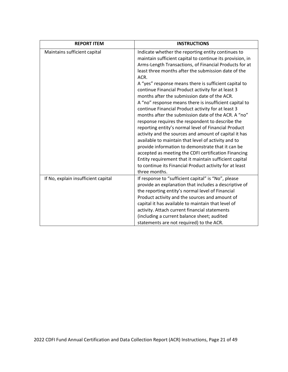| <b>REPORT ITEM</b>                  | <b>INSTRUCTIONS</b>                                                                                                                                                                                                                                                                                                                                                                                                                                                                                                                                                                                                                                                                                                                                                                                                                                                                                                                                                                                                                                           |
|-------------------------------------|---------------------------------------------------------------------------------------------------------------------------------------------------------------------------------------------------------------------------------------------------------------------------------------------------------------------------------------------------------------------------------------------------------------------------------------------------------------------------------------------------------------------------------------------------------------------------------------------------------------------------------------------------------------------------------------------------------------------------------------------------------------------------------------------------------------------------------------------------------------------------------------------------------------------------------------------------------------------------------------------------------------------------------------------------------------|
| Maintains sufficient capital        | Indicate whether the reporting entity continues to<br>maintain sufficient capital to continue its provision, in<br>Arms-Length Transactions, of Financial Products for at<br>least three months after the submission date of the<br>ACR.<br>A "yes" response means there is sufficient capital to<br>continue Financial Product activity for at least 3<br>months after the submission date of the ACR.<br>A "no" response means there is insufficient capital to<br>continue Financial Product activity for at least 3<br>months after the submission date of the ACR. A "no"<br>response requires the respondent to describe the<br>reporting entity's normal level of Financial Product<br>activity and the sources and amount of capital it has<br>available to maintain that level of activity and to<br>provide information to demonstrate that it can be<br>accepted as meeting the CDFI certification Financing<br>Entity requirement that it maintain sufficient capital<br>to continue its Financial Product activity for at least<br>three months. |
| If No, explain insufficient capital | If response to "sufficient capital" is "No", please<br>provide an explanation that includes a descriptive of<br>the reporting entity's normal level of Financial<br>Product activity and the sources and amount of<br>capital it has available to maintain that level of<br>activity. Attach current financial statements<br>(including a current balance sheet; audited<br>statements are not required) to the ACR.                                                                                                                                                                                                                                                                                                                                                                                                                                                                                                                                                                                                                                          |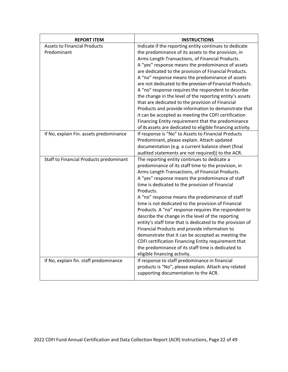| <b>REPORT ITEM</b>                                 | <b>INSTRUCTIONS</b>                                                                                                                                                                                                                                                                                                                                                                                                                                                                                                                                                                                                                                                                                                                                                                                                  |
|----------------------------------------------------|----------------------------------------------------------------------------------------------------------------------------------------------------------------------------------------------------------------------------------------------------------------------------------------------------------------------------------------------------------------------------------------------------------------------------------------------------------------------------------------------------------------------------------------------------------------------------------------------------------------------------------------------------------------------------------------------------------------------------------------------------------------------------------------------------------------------|
| <b>Assets to Financial Products</b><br>Predominant | Indicate if the reporting entity continues to dedicate<br>the predominance of its assets to the provision, in<br>Arms-Length Transactions, of Financial Products.<br>A "yes" response means the predominance of assets<br>are dedicated to the provision of Financial Products.<br>A "no" response means the predominance of assets<br>are not dedicated to the provision of Financial Products.<br>A "no" response requires the respondent to describe<br>the change in the level of the reporting entity's assets<br>that are dedicated to the provision of Financial<br>Products and provide information to demonstrate that<br>it can be accepted as meeting the CDFI certification<br>Financing Entity requirement that the predominance<br>of its assets are dedicated to eligible financing activity.         |
| If No, explain Fin. assets predominance            | If response is "No" to Assets to Financial Products<br>Predominant, please explain. Attach updated<br>documentation (e.g. a current balance sheet (final<br>audited statements are not required)) to the ACR.                                                                                                                                                                                                                                                                                                                                                                                                                                                                                                                                                                                                        |
| Staff to Financial Products predominant            | The reporting entity continues to dedicate a<br>predominance of its staff time to the provision, in<br>Arms-Length Transactions, of Financial Products.<br>A "yes" response means the predominance of staff<br>time is dedicated to the provision of Financial<br>Products.<br>A "no" response means the predominance of staff<br>time is not dedicated to the provision of Financial<br>Products. A "no" response requires the respondent to<br>describe the change in the level of the reporting<br>entity's staff time that is dedicated to the provision of<br>Financial Products and provide information to<br>demonstrate that it can be accepted as meeting the<br>CDFI certification Financing Entity requirement that<br>the predominance of its staff time is dedicated to<br>eligible financing activity. |
| If No, explain fin. staff predominance             | If response to staff predominance in financial<br>products is "No", please explain. Attach any related<br>supporting documentation to the ACR.                                                                                                                                                                                                                                                                                                                                                                                                                                                                                                                                                                                                                                                                       |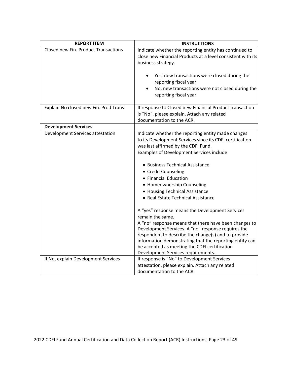| <b>REPORT ITEM</b>                    | <b>INSTRUCTIONS</b>                                                                                                                                                                                                                                                                                                                                                                                                                        |
|---------------------------------------|--------------------------------------------------------------------------------------------------------------------------------------------------------------------------------------------------------------------------------------------------------------------------------------------------------------------------------------------------------------------------------------------------------------------------------------------|
| Closed new Fin. Product Transactions  | Indicate whether the reporting entity has continued to<br>close new Financial Products at a level consistent with its<br>business strategy.                                                                                                                                                                                                                                                                                                |
|                                       | Yes, new transactions were closed during the<br>reporting fiscal year<br>No, new transactions were not closed during the<br>reporting fiscal year                                                                                                                                                                                                                                                                                          |
| Explain No closed new Fin. Prod Trans | If response to Closed new Financial Product transaction<br>is "No", please explain. Attach any related<br>documentation to the ACR.                                                                                                                                                                                                                                                                                                        |
| <b>Development Services</b>           |                                                                                                                                                                                                                                                                                                                                                                                                                                            |
| Development Services attestation      | Indicate whether the reporting entity made changes<br>to its Development Services since its CDFI certification<br>was last affirmed by the CDFI Fund.<br>Examples of Development Services include:                                                                                                                                                                                                                                         |
|                                       | • Business Technical Assistance<br>• Credit Counseling<br>• Financial Education<br>• Homeownership Counseling<br>• Housing Technical Assistance<br>• Real Estate Technical Assistance                                                                                                                                                                                                                                                      |
| If No, explain Development Services   | A "yes" response means the Development Services<br>remain the same.<br>A "no" response means that there have been changes to<br>Development Services. A "no" response requires the<br>respondent to describe the change(s) and to provide<br>information demonstrating that the reporting entity can<br>be accepted as meeting the CDFI certification<br>Development Services requirements.<br>If response is "No" to Development Services |
|                                       | attestation, please explain. Attach any related<br>documentation to the ACR.                                                                                                                                                                                                                                                                                                                                                               |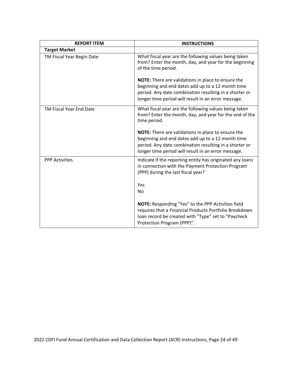| <b>REPORT ITEM</b>        | <b>INSTRUCTIONS</b>                                                                                                                                                                                                             |
|---------------------------|---------------------------------------------------------------------------------------------------------------------------------------------------------------------------------------------------------------------------------|
| <b>Target Market</b>      |                                                                                                                                                                                                                                 |
| TM Fiscal Year Begin Date | What fiscal year are the following values being taken<br>from? Enter the month, day, and year for the beginning<br>of the time period.                                                                                          |
|                           | <b>NOTE:</b> There are validations in place to ensure the<br>beginning and end dates add up to a 12 month time<br>period. Any date combination resulting in a shorter or<br>longer time period will result in an error message. |
| TM Fiscal Year End Date   | What fiscal year are the following values being taken<br>from? Enter the month, day, and year for the end of the<br>time period.                                                                                                |
|                           | NOTE: There are validations in place to ensure the<br>beginning and end dates add up to a 12 month time<br>period. Any date combination resulting in a shorter or<br>longer time period will result in an error message.        |
| <b>PPP Activities</b>     | Indicate if the reporting entity has originated any loans<br>in connection with the Payment Protection Program<br>(PPP) during the last fiscal year?                                                                            |
|                           | Yes<br>No                                                                                                                                                                                                                       |
|                           | <b>NOTE:</b> Responding "Yes" to the PPP Activities field<br>requires that a Financial Products Portfolio Breakdown<br>loan record be created with "Type" set to "Paycheck<br>Protection Program (PPP)".                        |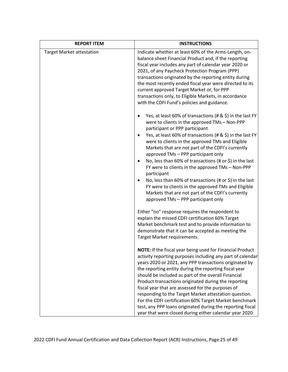| <b>REPORT ITEM</b>               | <b>INSTRUCTIONS</b>                                                                                                                                                                                                                                                                                                                                                                                                                                                                                    |
|----------------------------------|--------------------------------------------------------------------------------------------------------------------------------------------------------------------------------------------------------------------------------------------------------------------------------------------------------------------------------------------------------------------------------------------------------------------------------------------------------------------------------------------------------|
| <b>Target Market attestation</b> | Indicate whether at least 60% of the Arms-Length, on-<br>balance sheet Financial Product and, if the reporting<br>fiscal year includes any part of calendar year 2020 or<br>2021, of any Paycheck Protection Program (PPP)<br>transactions originated by the reporting entity during<br>the most recently ended fiscal year were directed to its<br>current approved Target Market or, for PPP<br>transactions only, to Eligible Markets, in accordance<br>with the CDFI Fund's policies and guidance. |
|                                  | Yes, at least 60% of transactions (# & \$) in the last FY<br>were to clients in the approved TMs - Non-PPP<br>participant or PPP participant                                                                                                                                                                                                                                                                                                                                                           |
|                                  | Yes, at least 60% of transactions (# & \$) in the last FY<br>were to clients in the approved TMs and Eligible<br>Markets that are not part of the CDFI's currently<br>approved TMs - PPP participant only                                                                                                                                                                                                                                                                                              |
|                                  | No, less than 60% of transactions (# or \$) in the last<br>FY were to clients in the approved TMs - Non-PPP<br>participant                                                                                                                                                                                                                                                                                                                                                                             |
|                                  | No, less than 60% of transactions (# or \$) in the last<br>FY were to clients in the approved TMs and Eligible<br>Markets that are not part of the CDFI's currently<br>approved TMs - PPP participant only                                                                                                                                                                                                                                                                                             |
|                                  | Either "no" response requires the respondent to                                                                                                                                                                                                                                                                                                                                                                                                                                                        |
|                                  | explain the missed CDFI certification 60% Target<br>Market benchmark test and to provide information to                                                                                                                                                                                                                                                                                                                                                                                                |
|                                  | demonstrate that it can be accepted as meeting the<br>Target Market requirements.                                                                                                                                                                                                                                                                                                                                                                                                                      |
|                                  | <b>NOTE:</b> If the fiscal year being used for Financial Product<br>activity reporting purposes including any part of calendar                                                                                                                                                                                                                                                                                                                                                                         |
|                                  | years 2020 or 2021, any PPP transactions originated by<br>the reporting entity during the reporting fiscal year                                                                                                                                                                                                                                                                                                                                                                                        |
|                                  | should be included as part of the overall Financial                                                                                                                                                                                                                                                                                                                                                                                                                                                    |
|                                  | Product transactions originated during the reporting<br>fiscal year that are assessed for the purposes of                                                                                                                                                                                                                                                                                                                                                                                              |
|                                  | responding to the Target Market attestation question.                                                                                                                                                                                                                                                                                                                                                                                                                                                  |
|                                  | For the CDFI certification 60% Target Market benchmark                                                                                                                                                                                                                                                                                                                                                                                                                                                 |
|                                  | test, any PPP loans originated during the reporting fiscal<br>year that were closed during either calendar year 2020                                                                                                                                                                                                                                                                                                                                                                                   |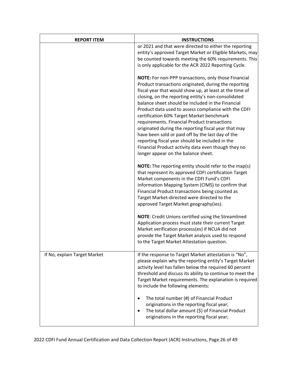| <b>REPORT ITEM</b>           | <b>INSTRUCTIONS</b>                                                                                                                                                                                                                                                                                                                                                                                                                                                                                                                                                                                                                                                                                     |
|------------------------------|---------------------------------------------------------------------------------------------------------------------------------------------------------------------------------------------------------------------------------------------------------------------------------------------------------------------------------------------------------------------------------------------------------------------------------------------------------------------------------------------------------------------------------------------------------------------------------------------------------------------------------------------------------------------------------------------------------|
|                              | or 2021 and that were directed to either the reporting<br>entity's approved Target Market or Eligible Markets, may<br>be counted towards meeting the 60% requirements. This<br>is only applicable for the ACR 2022 Reporting Cycle.                                                                                                                                                                                                                                                                                                                                                                                                                                                                     |
|                              | NOTE: For non-PPP transactions, only those Financial<br>Product transactions originated, during the reporting<br>fiscal year that would show up, at least at the time of<br>closing, on the reporting entity's non-consolidated<br>balance sheet should be included in the Financial<br>Product data used to assess compliance with the CDFI<br>certification 60% Target Market benchmark<br>requirements. Financial Product transactions<br>originated during the reporting fiscal year that may<br>have been sold or paid off by the last day of the<br>reporting fiscal year should be included in the<br>Financial Product activity data even though they no<br>longer appear on the balance sheet. |
|                              | <b>NOTE:</b> The reporting entity should refer to the map(s)<br>that represent its approved CDFI certification Target<br>Market components in the CDFI Fund's CDFI<br>Information Mapping System (CIMS) to confirm that<br>Financial Product transactions being counted as<br>Target Market-directed were directed to the<br>approved Target Market geography(ies).                                                                                                                                                                                                                                                                                                                                     |
|                              | <b>NOTE:</b> Credit Unions certified using the Streamlined<br>Application process must state their current Target<br>Market verification process(es) if NCUA did not<br>provide the Target Market analysis used to respond<br>to the Target Market Attestation question.                                                                                                                                                                                                                                                                                                                                                                                                                                |
| If No, explain Target Market | If the response to Target Market attestation is "No",<br>please explain why the reporting entity's Target Market<br>activity level has fallen below the required 60 percent<br>threshold and discuss its ability to continue to meet the<br>Target Market requirements. The explanation is required<br>to include the following elements:                                                                                                                                                                                                                                                                                                                                                               |
|                              | The total number (#) of Financial Product<br>originations in the reporting fiscal year;<br>The total dollar amount (\$) of Financial Product<br>originations in the reporting fiscal year;                                                                                                                                                                                                                                                                                                                                                                                                                                                                                                              |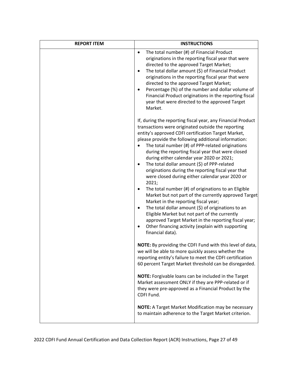| <b>REPORT ITEM</b> | <b>INSTRUCTIONS</b>                                                                                                                                                                                                                                                                                                                                                                                                                                                                                                                                                                                                                                                                                                                                                                                                                                                                                                                                         |
|--------------------|-------------------------------------------------------------------------------------------------------------------------------------------------------------------------------------------------------------------------------------------------------------------------------------------------------------------------------------------------------------------------------------------------------------------------------------------------------------------------------------------------------------------------------------------------------------------------------------------------------------------------------------------------------------------------------------------------------------------------------------------------------------------------------------------------------------------------------------------------------------------------------------------------------------------------------------------------------------|
|                    | The total number (#) of Financial Product<br>originations in the reporting fiscal year that were<br>directed to the approved Target Market;<br>The total dollar amount (\$) of Financial Product<br>originations in the reporting fiscal year that were<br>directed to the approved Target Market;<br>Percentage (%) of the number and dollar volume of<br>Financial Product originations in the reporting fiscal<br>year that were directed to the approved Target<br>Market.                                                                                                                                                                                                                                                                                                                                                                                                                                                                              |
|                    | If, during the reporting fiscal year, any Financial Product<br>transactions were originated outside the reporting<br>entity's approved CDFI certification Target Market,<br>please provide the following additional information:<br>The total number (#) of PPP-related originations<br>during the reporting fiscal year that were closed<br>during either calendar year 2020 or 2021;<br>The total dollar amount (\$) of PPP-related<br>٠<br>originations during the reporting fiscal year that<br>were closed during either calendar year 2020 or<br>2021;<br>The total number (#) of originations to an Eligible<br>Market but not part of the currently approved Target<br>Market in the reporting fiscal year;<br>The total dollar amount (\$) of originations to an<br>Eligible Market but not part of the currently<br>approved Target Market in the reporting fiscal year;<br>Other financing activity (explain with supporting<br>financial data). |
|                    | NOTE: By providing the CDFI Fund with this level of data,<br>we will be able to more quickly assess whether the<br>reporting entity's failure to meet the CDFI certification<br>60 percent Target Market threshold can be disregarded.                                                                                                                                                                                                                                                                                                                                                                                                                                                                                                                                                                                                                                                                                                                      |
|                    | NOTE: Forgivable loans can be included in the Target<br>Market assessment ONLY if they are PPP-related or if<br>they were pre-approved as a Financial Product by the<br>CDFI Fund.                                                                                                                                                                                                                                                                                                                                                                                                                                                                                                                                                                                                                                                                                                                                                                          |
|                    | NOTE: A Target Market Modification may be necessary<br>to maintain adherence to the Target Market criterion.                                                                                                                                                                                                                                                                                                                                                                                                                                                                                                                                                                                                                                                                                                                                                                                                                                                |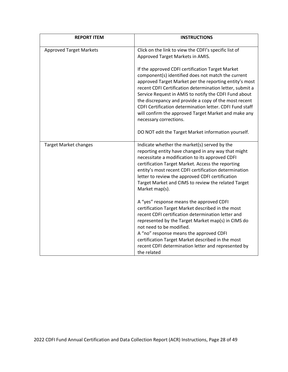| <b>REPORT ITEM</b>             | <b>INSTRUCTIONS</b>                                                                                                                                                                                                                                                                                                                                                                                                                                                                          |
|--------------------------------|----------------------------------------------------------------------------------------------------------------------------------------------------------------------------------------------------------------------------------------------------------------------------------------------------------------------------------------------------------------------------------------------------------------------------------------------------------------------------------------------|
| <b>Approved Target Markets</b> | Click on the link to view the CDFI's specific list of<br>Approved Target Markets in AMIS.                                                                                                                                                                                                                                                                                                                                                                                                    |
|                                | If the approved CDFI certification Target Market<br>component(s) identified does not match the current<br>approved Target Market per the reporting entity's most<br>recent CDFI Certification determination letter, submit a<br>Service Request in AMIS to notify the CDFI Fund about<br>the discrepancy and provide a copy of the most recent<br>CDFI Certification determination letter. CDFI Fund staff<br>will confirm the approved Target Market and make any<br>necessary corrections. |
|                                | DO NOT edit the Target Market information yourself.                                                                                                                                                                                                                                                                                                                                                                                                                                          |
| <b>Target Market changes</b>   | Indicate whether the market(s) served by the<br>reporting entity have changed in any way that might<br>necessitate a modification to its approved CDFI<br>certification Target Market. Access the reporting<br>entity's most recent CDFI certification determination<br>letter to review the approved CDFI certification<br>Target Market and CIMS to review the related Target<br>Market map(s).                                                                                            |
|                                | A "yes" response means the approved CDFI<br>certification Target Market described in the most<br>recent CDFI certification determination letter and<br>represented by the Target Market map(s) in CIMS do<br>not need to be modified.<br>A "no" response means the approved CDFI<br>certification Target Market described in the most<br>recent CDFI determination letter and represented by<br>the related                                                                                  |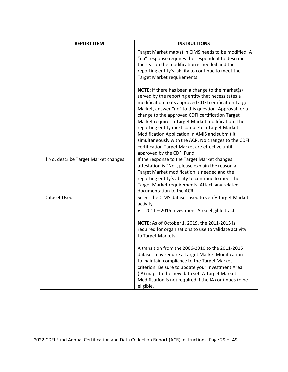| <b>REPORT ITEM</b>                    | <b>INSTRUCTIONS</b>                                                                                                                                                                                                                                                                                                                                                                                                                                                                                                                                                                   |
|---------------------------------------|---------------------------------------------------------------------------------------------------------------------------------------------------------------------------------------------------------------------------------------------------------------------------------------------------------------------------------------------------------------------------------------------------------------------------------------------------------------------------------------------------------------------------------------------------------------------------------------|
|                                       | Target Market map(s) in CIMS needs to be modified. A<br>"no" response requires the respondent to describe<br>the reason the modification is needed and the<br>reporting entity's ability to continue to meet the<br>Target Market requirements.                                                                                                                                                                                                                                                                                                                                       |
|                                       | <b>NOTE:</b> If there has been a change to the market(s)<br>served by the reporting entity that necessitates a<br>modification to its approved CDFI certification Target<br>Market, answer "no" to this question. Approval for a<br>change to the approved CDFI certification Target<br>Market requires a Target Market modification. The<br>reporting entity must complete a Target Market<br>Modification Application in AMIS and submit it<br>simultaneously with the ACR. No changes to the CDFI<br>certification Target Market are effective until<br>approved by the CDFI Fund. |
| If No, describe Target Market changes | If the response to the Target Market changes<br>attestation is "No", please explain the reason a<br>Target Market modification is needed and the<br>reporting entity's ability to continue to meet the<br>Target Market requirements. Attach any related<br>documentation to the ACR.                                                                                                                                                                                                                                                                                                 |
| Dataset Used                          | Select the CIMS dataset used to verify Target Market<br>activity.<br>2011 - 2015 Investment Area eligible tracts<br>NOTE: As of October 1, 2019, the 2011-2015 is<br>required for organizations to use to validate activity<br>to Target Markets.                                                                                                                                                                                                                                                                                                                                     |
|                                       | A transition from the 2006-2010 to the 2011-2015<br>dataset may require a Target Market Modification<br>to maintain compliance to the Target Market<br>criterion. Be sure to update your Investment Area<br>(IA) maps to the new data set. A Target Market<br>Modification is not required if the IA continues to be<br>eligible.                                                                                                                                                                                                                                                     |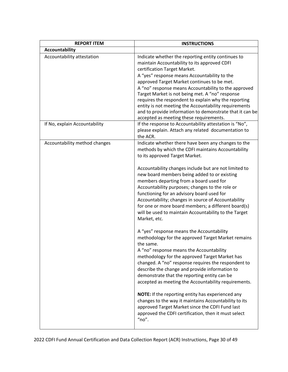| <b>REPORT ITEM</b>            | <b>INSTRUCTIONS</b>                                                                                                                                                                                                                                                                                                                                                                                                                                                                                                                                                  |
|-------------------------------|----------------------------------------------------------------------------------------------------------------------------------------------------------------------------------------------------------------------------------------------------------------------------------------------------------------------------------------------------------------------------------------------------------------------------------------------------------------------------------------------------------------------------------------------------------------------|
| <b>Accountability</b>         |                                                                                                                                                                                                                                                                                                                                                                                                                                                                                                                                                                      |
| Accountability attestation    | Indicate whether the reporting entity continues to<br>maintain Accountability to its approved CDFI<br>certification Target Market.<br>A "yes" response means Accountability to the<br>approved Target Market continues to be met.<br>A "no" response means Accountability to the approved<br>Target Market is not being met. A "no" response<br>requires the respondent to explain why the reporting<br>entity is not meeting the Accountability requirements<br>and to provide information to demonstrate that it can be<br>accepted as meeting these requirements. |
| If No, explain Accountability | If the response to Accountability attestation is "No",<br>please explain. Attach any related documentation to<br>the ACR.                                                                                                                                                                                                                                                                                                                                                                                                                                            |
| Accountability method changes | Indicate whether there have been any changes to the<br>methods by which the CDFI maintains Accountability<br>to its approved Target Market.                                                                                                                                                                                                                                                                                                                                                                                                                          |
|                               | Accountability changes include but are not limited to<br>new board members being added to or existing<br>members departing from a board used for<br>Accountability purposes; changes to the role or<br>functioning for an advisory board used for<br>Accountability; changes in source of Accountability<br>for one or more board members; a different board(s)<br>will be used to maintain Accountability to the Target<br>Market, etc.                                                                                                                             |
|                               | A "yes" response means the Accountability<br>methodology for the approved Target Market remains<br>the same.<br>A "no" response means the Accountability<br>methodology for the approved Target Market has<br>changed. A "no" response requires the respondent to<br>describe the change and provide information to<br>demonstrate that the reporting entity can be<br>accepted as meeting the Accountability requirements.                                                                                                                                          |
|                               | NOTE: If the reporting entity has experienced any<br>changes to the way it maintains Accountability to its<br>approved Target Market since the CDFI Fund last<br>approved the CDFI certification, then it must select<br>" $no$ ".                                                                                                                                                                                                                                                                                                                                   |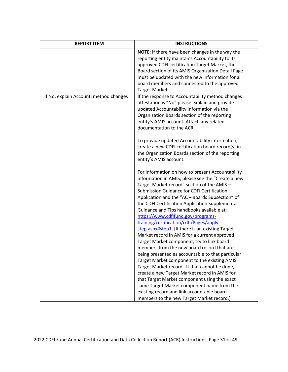| <b>REPORT ITEM</b>                     | <b>INSTRUCTIONS</b>                                                                                                                                                                                                                                                                                                                                                                                                                                                                                                                         |
|----------------------------------------|---------------------------------------------------------------------------------------------------------------------------------------------------------------------------------------------------------------------------------------------------------------------------------------------------------------------------------------------------------------------------------------------------------------------------------------------------------------------------------------------------------------------------------------------|
|                                        | <b>NOTE:</b> If there have been changes in the way the<br>reporting entity maintains Accountability to its<br>approved CDFI certification Target Market, the<br>Board section of its AMIS Organization Detail Page<br>must be updated with the new information for all<br>board members and connected to the approved<br>Target Market.                                                                                                                                                                                                     |
| If No, explain Account. method changes | If the response to Accountability method changes<br>attestation is "No" please explain and provide<br>updated Accountability information via the<br>Organization Boards section of the reporting<br>entity's AMIS account. Attach any related<br>documentation to the ACR.                                                                                                                                                                                                                                                                  |
|                                        | To provide updated Accountability information,<br>create a new CDFI certification board record(s) in<br>the Organization Boards section of the reporting<br>entity's AMIS account.                                                                                                                                                                                                                                                                                                                                                          |
|                                        | For information on how to present Accountability<br>information in AMIS, please see the "Create a new<br>Target Market record" section of the AMIS -<br>Submission Guidance for CDFI Certification<br>Application and the "AC - Boards Subsection" of<br>the CDFI Certification Application Supplemental<br>Guidance and Tips handbooks available at:<br>https://www.cdfifund.gov/programs-<br>training/certification/cdfi/Pages/apply-<br>step.aspx#step1. [If there is an existing Target<br>Market record in AMIS for a current approved |
|                                        | Target Market component, try to link board<br>members from the new board record that are<br>being presented as accountable to that particular<br>Target Market component to the existing AMIS<br>Target Market record. If that cannot be done,<br>create a new Target Market record in AMIS for<br>that Target Market component using the exact<br>same Target Market component name from the<br>existing record and link accountable board<br>members to the new Target Market record.]                                                    |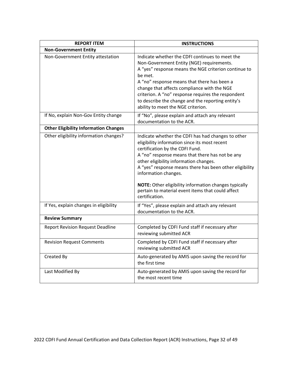| <b>REPORT ITEM</b>                           | <b>INSTRUCTIONS</b>                                                                                                                                                                                                                                                                                                                                                                                                                                           |
|----------------------------------------------|---------------------------------------------------------------------------------------------------------------------------------------------------------------------------------------------------------------------------------------------------------------------------------------------------------------------------------------------------------------------------------------------------------------------------------------------------------------|
| <b>Non-Government Entity</b>                 |                                                                                                                                                                                                                                                                                                                                                                                                                                                               |
| Non-Government Entity attestation            | Indicate whether the CDFI continues to meet the<br>Non-Government Entity (NGE) requirements.<br>A "yes" response means the NGE criterion continue to<br>be met.<br>A "no" response means that there has been a<br>change that affects compliance with the NGE<br>criterion. A "no" response requires the respondent<br>to describe the change and the reporting entity's<br>ability to meet the NGE criterion.                                                |
| If No, explain Non-Gov Entity change         | If "No", please explain and attach any relevant<br>documentation to the ACR.                                                                                                                                                                                                                                                                                                                                                                                  |
| <b>Other Eligibility Information Changes</b> |                                                                                                                                                                                                                                                                                                                                                                                                                                                               |
| Other eligibility information changes?       | Indicate whether the CDFI has had changes to other<br>eligibility information since its most recent<br>certification by the CDFI Fund.<br>A "no" response means that there has not be any<br>other eligibility information changes.<br>A "yes" response means there has been other eligibility<br>information changes.<br><b>NOTE:</b> Other eligibility information changes typically<br>pertain to material event items that could affect<br>certification. |
| If Yes, explain changes in eligibility       | If "Yes", please explain and attach any relevant<br>documentation to the ACR.                                                                                                                                                                                                                                                                                                                                                                                 |
| <b>Review Summary</b>                        |                                                                                                                                                                                                                                                                                                                                                                                                                                                               |
| <b>Report Revision Request Deadline</b>      | Completed by CDFI Fund staff if necessary after<br>reviewing submitted ACR                                                                                                                                                                                                                                                                                                                                                                                    |
| <b>Revision Request Comments</b>             | Completed by CDFI Fund staff if necessary after<br>reviewing submitted ACR                                                                                                                                                                                                                                                                                                                                                                                    |
| Created By                                   | Auto-generated by AMIS upon saving the record for<br>the first time                                                                                                                                                                                                                                                                                                                                                                                           |
| Last Modified By                             | Auto-generated by AMIS upon saving the record for<br>the most recent time                                                                                                                                                                                                                                                                                                                                                                                     |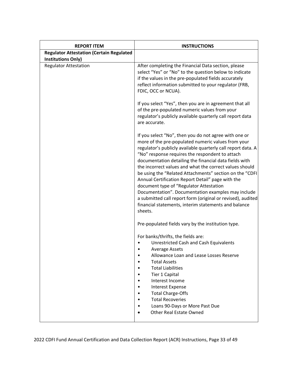| <b>REPORT ITEM</b>                                        | <b>INSTRUCTIONS</b>                                                                                                                                                                                                                                                                                                                                                                                                                                                                                                                                                                                                                                                                                    |
|-----------------------------------------------------------|--------------------------------------------------------------------------------------------------------------------------------------------------------------------------------------------------------------------------------------------------------------------------------------------------------------------------------------------------------------------------------------------------------------------------------------------------------------------------------------------------------------------------------------------------------------------------------------------------------------------------------------------------------------------------------------------------------|
| <b>Regulator Attestation (Certain Regulated</b>           |                                                                                                                                                                                                                                                                                                                                                                                                                                                                                                                                                                                                                                                                                                        |
| <b>Institutions Only)</b><br><b>Regulator Attestation</b> | After completing the Financial Data section, please<br>select "Yes" or "No" to the question below to indicate<br>if the values in the pre-populated fields accurately<br>reflect information submitted to your regulator (FRB,<br>FDIC, OCC or NCUA).<br>If you select "Yes", then you are in agreement that all                                                                                                                                                                                                                                                                                                                                                                                       |
|                                                           | of the pre-populated numeric values from your<br>regulator's publicly available quarterly call report data<br>are accurate.                                                                                                                                                                                                                                                                                                                                                                                                                                                                                                                                                                            |
|                                                           | If you select "No", then you do not agree with one or<br>more of the pre-populated numeric values from your<br>regulator's publicly available quarterly call report data. A<br>"No" response requires the respondent to attach<br>documentation detailing the financial data fields with<br>the incorrect values and what the correct values should<br>be using the "Related Attachments" section on the "CDFI<br>Annual Certification Report Detail" page with the<br>document type of "Regulator Attestation<br>Documentation". Documentation examples may include<br>a submitted call report form (original or revised), audited<br>financial statements, interim statements and balance<br>sheets. |
|                                                           | Pre-populated fields vary by the institution type.                                                                                                                                                                                                                                                                                                                                                                                                                                                                                                                                                                                                                                                     |
|                                                           | For banks/thrifts, the fields are:<br><b>Unrestricted Cash and Cash Equivalents</b><br>Average Assets<br>Allowance Loan and Lease Losses Reserve                                                                                                                                                                                                                                                                                                                                                                                                                                                                                                                                                       |
|                                                           | <b>Total Assets</b><br><b>Total Liabilities</b><br>Tier 1 Capital                                                                                                                                                                                                                                                                                                                                                                                                                                                                                                                                                                                                                                      |
|                                                           | Interest Income<br><b>Interest Expense</b><br><b>Total Charge-Offs</b><br><b>Total Recoveries</b>                                                                                                                                                                                                                                                                                                                                                                                                                                                                                                                                                                                                      |
|                                                           | Loans 90-Days or More Past Due<br><b>Other Real Estate Owned</b>                                                                                                                                                                                                                                                                                                                                                                                                                                                                                                                                                                                                                                       |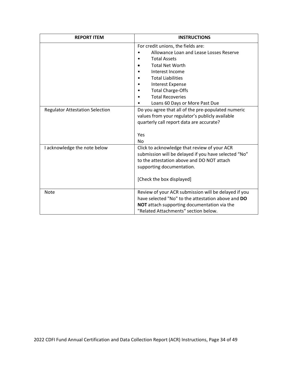| <b>REPORT ITEM</b>                     | <b>INSTRUCTIONS</b>                                                                                                                                                                                                                                                                               |
|----------------------------------------|---------------------------------------------------------------------------------------------------------------------------------------------------------------------------------------------------------------------------------------------------------------------------------------------------|
|                                        | For credit unions, the fields are:<br>Allowance Loan and Lease Losses Reserve<br><b>Total Assets</b><br><b>Total Net Worth</b><br>Interest Income<br><b>Total Liabilities</b><br><b>Interest Expense</b><br><b>Total Charge-Offs</b><br><b>Total Recoveries</b><br>Loans 60 Days or More Past Due |
| <b>Regulator Attestation Selection</b> | Do you agree that all of the pre-populated numeric<br>values from your regulator's publicly available<br>quarterly call report data are accurate?<br>Yes<br><b>No</b>                                                                                                                             |
| I acknowledge the note below           | Click to acknowledge that review of your ACR<br>submission will be delayed if you have selected "No"<br>to the attestation above and DO NOT attach<br>supporting documentation.<br>[Check the box displayed]                                                                                      |
| <b>Note</b>                            | Review of your ACR submission will be delayed if you<br>have selected "No" to the attestation above and DO<br>NOT attach supporting documentation via the<br>"Related Attachments" section below.                                                                                                 |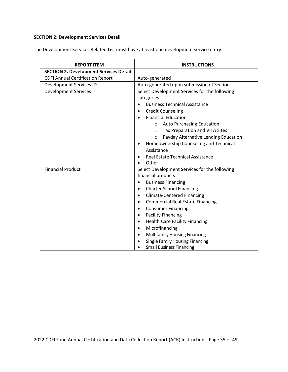#### **SECTION 2: Development Services Detail**

The Development Services Related List must have at least one development service entry.

| <b>REPORT ITEM</b>                            | <b>INSTRUCTIONS</b>                             |
|-----------------------------------------------|-------------------------------------------------|
| <b>SECTION 2. Development Services Detail</b> |                                                 |
| <b>CDFI Annual Certification Report</b>       | Auto-generated                                  |
| Development Services ID                       | Auto-generated upon submission of Section       |
| <b>Development Services</b>                   | Select Development Services for the following   |
|                                               | categories:                                     |
|                                               | <b>Business Technical Assistance</b>            |
|                                               | <b>Credit Counseling</b><br>٠                   |
|                                               | <b>Financial Education</b>                      |
|                                               | o Auto Purchasing Education                     |
|                                               | Tax Preparation and VITA Sites<br>$\circ$       |
|                                               | Payday Alternative Lending Education<br>$\circ$ |
|                                               | Homeownership Counseling and Technical          |
|                                               | Assistance                                      |
|                                               | Real Estate Technical Assistance                |
|                                               | Other                                           |
| <b>Financial Product</b>                      | Select Development Services for the following   |
|                                               | financial products:                             |
|                                               | <b>Business Financing</b>                       |
|                                               | <b>Charter School Financing</b><br>$\bullet$    |
|                                               | <b>Climate-Centered Financing</b><br>٠          |
|                                               | <b>Commercial Real Estate Financing</b>         |
|                                               | <b>Consumer Financing</b><br>٠                  |
|                                               | <b>Facility Financing</b><br>٠                  |
|                                               | <b>Health Care Facility Financing</b><br>٠      |
|                                               | Microfinancing                                  |
|                                               | Multifamily Housing Financing                   |
|                                               | Single Family Housing Financing                 |
|                                               | <b>Small Business Financing</b>                 |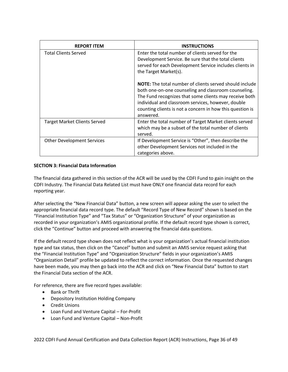| <b>REPORT ITEM</b>                  | <b>INSTRUCTIONS</b>                                                                                                                                                                                                                                                                                              |
|-------------------------------------|------------------------------------------------------------------------------------------------------------------------------------------------------------------------------------------------------------------------------------------------------------------------------------------------------------------|
| <b>Total Clients Served</b>         | Enter the total number of clients served for the<br>Development Service. Be sure that the total clients<br>served for each Development Service includes clients in<br>the Target Market(s).                                                                                                                      |
|                                     | <b>NOTE:</b> The total number of clients served should include<br>both one-on-one counseling and classroom counseling.<br>The Fund recognizes that some clients may receive both<br>individual and classroom services, however, double<br>counting clients is not a concern in how this question is<br>answered. |
| <b>Target Market Clients Served</b> | Enter the total number of Target Market clients served<br>which may be a subset of the total number of clients<br>served.                                                                                                                                                                                        |
| <b>Other Development Services</b>   | If Development Service is "Other", then describe the<br>other Development Services not included in the<br>categories above.                                                                                                                                                                                      |

#### **SECTION 3: Financial Data Information**

The financial data gathered in this section of the ACR will be used by the CDFI Fund to gain insight on the CDFI Industry. The Financial Data Related List must have ONLY one financial data record for each reporting year.

After selecting the "New Financial Data" button, a new screen will appear asking the user to select the appropriate financial data record type. The default "Record Type of New Record" shown is based on the "Financial Institution Type" and "Tax Status" or "Organization Structure" of your organization as recorded in your organization's AMIS organizational profile. If the default record type shown is correct, click the "Continue" button and proceed with answering the financial data questions.

If the default record type shown does not reflect what is your organization's actual financial institution type and tax status, then click on the "Cancel" button and submit an AMIS service request asking that the "Financial Institution Type" and "Organization Structure" fields in your organization's AMIS "Organization Detail" profile be updated to reflect the correct information. Once the requested changes have been made, you may then go back into the ACR and click on "New Financial Data" button to start the Financial Data section of the ACR.

For reference, there are five record types available:

- Bank or Thrift
- Depository Institution Holding Company
- Credit Unions
- Loan Fund and Venture Capital For-Profit
- Loan Fund and Venture Capital Non-Profit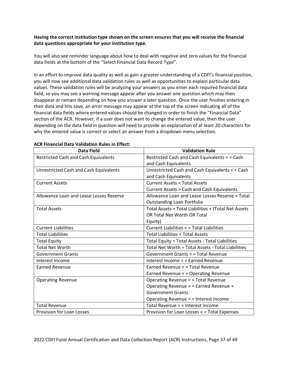#### **Having the correct institution type shown on the screen ensures that you will receive the financial data questions appropriate for your institution type.**

You will also see reminder language about how to deal with negative and zero values for the financial data fields at the bottom of the "Select Financial Data Record Type".

In an effort to improve data quality as well as gain a greater understanding of a CDFI's financial position, you will now see additional data validation rules as well as opportunities to explain particular data values. These validation rules will be analyzing your answers as you enter each required financial data field, so you may see a warning message appear after you answer one question which may then disappear or remain depending on how you answer a later question. Once the user finishes entering in their data and hits save, an error message may appear at the top of the screen indicating all of the financial data fields where entered values should be changed in order to finish the "Financial Data" section of the ACR. However, if a user does not want to change the entered value, then the user depending on the data field in question will need to provide an explanation of at least 20 characters for why the entered value is correct or select an answer from a dropdown menu selection.

| <b>Data Field</b>                             | <b>Validation Rule</b>                               |
|-----------------------------------------------|------------------------------------------------------|
| <b>Restricted Cash and Cash Equivalents</b>   | Restricted Cash and Cash Equivalents < = Cash        |
|                                               | and Cash Equivalents                                 |
| <b>Unrestricted Cash and Cash Equivalents</b> | Unrestricted Cash and Cash Equivalents < = Cash      |
|                                               | and Cash Equivalents                                 |
| <b>Current Assets</b>                         | Current Assets < Total Assets                        |
|                                               | Current Assets > Cash and Cash Equivalents           |
| Allowance Loan and Lease Losses Reserve       | Allowance Loan and Lease Losses Reserve < Total      |
|                                               | <b>Outstanding Loan Portfolio</b>                    |
| <b>Total Assets</b>                           | Total Assets = Total Liabilities + (Total Net Assets |
|                                               | OR Total Net Worth OR Total                          |
|                                               | Equity)                                              |
| <b>Current Liabilities</b>                    | Current Liabilities < = Total Liabilities            |
| <b>Total Liabilities</b>                      | <b>Total Liabilities &lt; Total Assets</b>           |
| <b>Total Equity</b>                           | Total Equity = Total Assets - Total Liabilities      |
| <b>Total Net Worth</b>                        | Total Net Worth = Total Assets - Total Liabilities   |
| <b>Government Grants</b>                      | Government Grants < = Total Revenue                  |
| Interest Income                               | Interest Income < = Earned Revenue                   |
| <b>Earned Revenue</b>                         | Earned Revenue < = Total Revenue                     |
|                                               | Earned Revenue < = Operating Revenue                 |
| <b>Operating Revenue</b>                      | Operating Revenue < = Total Revenue                  |
|                                               | Operating Revenue > = Earned Revenue +               |
|                                               | <b>Government Grants</b>                             |
|                                               | Operating Revenue > = Interest Income                |
| <b>Total Revenue</b>                          | Total Revenue > = Interest Income                    |
| Provision for Loan Losses                     | Provision for Loan Losses < = Total Expenses         |

#### **ACR Financial Data Validation Rules in Effect:**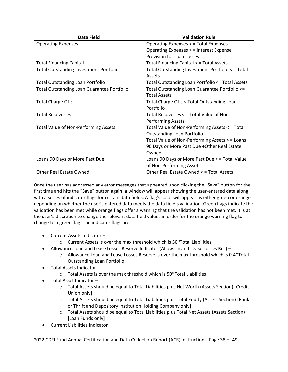| Data Field                                        | <b>Validation Rule</b>                           |
|---------------------------------------------------|--------------------------------------------------|
| <b>Operating Expenses</b>                         | Operating Expenses < = Total Expenses            |
|                                                   | Operating Expenses > = Interest Expense +        |
|                                                   | <b>Provision for Loan Losses</b>                 |
| <b>Total Financing Capital</b>                    | Total Financing Capital < = Total Assets         |
| <b>Total Outstanding Investment Portfolio</b>     | Total Outstanding Investment Portfolio < = Total |
|                                                   | Assets                                           |
| <b>Total Outstanding Loan Portfolio</b>           | Total Outstanding Loan Portfolio <= Total Assets |
| <b>Total Outstanding Loan Guarantee Portfolio</b> | Total Outstanding Loan Guarantee Portfolio <=    |
|                                                   | <b>Total Assets</b>                              |
| <b>Total Charge Offs</b>                          | Total Charge Offs < Total Outstanding Loan       |
|                                                   | Portfolio                                        |
| <b>Total Recoveries</b>                           | Total Recoveries < = Total Value of Non-         |
|                                                   | <b>Performing Assets</b>                         |
| <b>Total Value of Non-Performing Assets</b>       | Total Value of Non-Performing Assets < = Total   |
|                                                   | <b>Outstanding Loan Portfolio</b>                |
|                                                   | Total Value of Non-Performing Assets > = Loans   |
|                                                   | 90 Days or More Past Due + Other Real Estate     |
|                                                   | Owned                                            |
| Loans 90 Days or More Past Due                    | Loans 90 Days or More Past Due < = Total Value   |
|                                                   | of Non-Performing Assets                         |
| <b>Other Real Estate Owned</b>                    | Other Real Estate Owned < = Total Assets         |

Once the user has addressed any error messages that appeared upon clicking the "Save" button for the first time and hits the "Save" button again, a window will appear showing the user-entered data along with a series of indicator flags for certain data fields. A flag's color will appear as either green or orange depending on whether the user's entered data meets the data field's validation. Green flags indicate the validation has been met while orange flags offer a warning that the validation has not been met. It is at the user's discretion to change the relevant data field values in order for the orange warning flag to change to a green flag. The indicator flags are:

- Current Assets Indicator
	- $\circ$  Current Assets is over the max threshold which is 50\*Total Liabilities
- Allowance Loan and Lease Losses Reserve Indicator (Allow. Ln and Lease Losses Res)
	- $\circ$  Allowance Loan and Lease Losses Reserve is over the max threshold which is 0.4 \* Total Outstanding Loan Portfolio
- Total Assets Indicator
	- o Total Assets is over the max threshold which is 50\*Total Liabilities
- Total Asset Indicator
	- o Total Assets should be equal to Total Liabilities plus Net Worth (Assets Section) [Credit Union only]
	- o Total Assets should be equal to Total Liabilities plus Total Equity (Assets Section) [Bank or Thrift and Depository Institution Holding Company only]
	- o Total Assets should be equal to Total Liabilities plus Total Net Assets (Assets Section) [Loan Funds only]
- Current Liabilities Indicator –

2022 CDFI Fund Annual Certification and Data Collection Report (ACR) Instructions, Page 38 of 49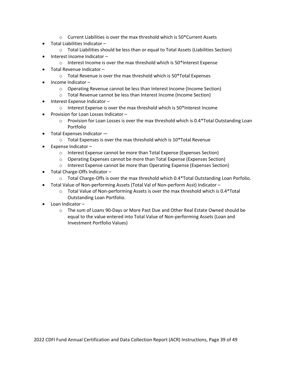- $\circ$  Current Liabilities is over the max threshold which is 50\*Current Assets
- Total Liabilities Indicator
	- $\circ$  Total Liabilities should be less than or equal to Total Assets (Liabilities Section)
- Interest Income Indicator
	- $\circ$  Interest Income is over the max threshold which is 50\*Interest Expense
- Total Revenue Indicator
	- o Total Revenue is over the max threshold which is 50\*Total Expenses
- Income Indicator
	- o Operating Revenue cannot be less than Interest Income (Income Section)
	- o Total Revenue cannot be less than Interest Income (Income Section)
- Interest Expense Indicator
	- o Interest Expense is over the max threshold which is 50\*Interest Income
- Provision for Loan Losses Indicator
	- $\circ$  Provision for Loan Losses is over the max threshold which is 0.4\*Total Outstanding Loan Portfolio
- Total Expenses Indicator
	- o Total Expenses is over the max threshold which is 10\*Total Revenue
- Expense Indicator
	- o Interest Expense cannot be more than Total Expense (Expenses Section)
	- o Operating Expenses cannot be more than Total Expense (Expenses Section)
	- o Interest Expense cannot be more than Operating Expense (Expenses Section)
- Total Charge-Offs Indicator
	- o Total Charge-Offs is over the max threshold which 0.4\*Total Outstanding Loan Porfolio.
	- Total Value of Non-performing Assets (Total Val of Non-perform Asst) Indicator
		- $\circ$  Total Value of Non-performing Assets is over the max threshold which is 0.4\*Total Outstanding Loan Portfolio.
- Loan Indicator
	- o The sum of Loans 90-Days or More Past Due and Other Real Estate Owned should be equal to the value entered into Total Value of Non-performing Assets (Loan and Investment Portfolio Values)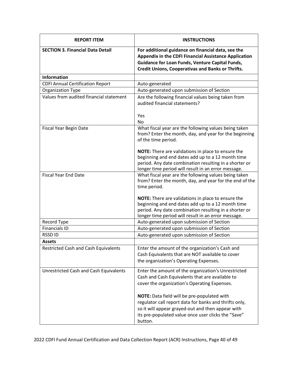| <b>REPORT ITEM</b>                            | <b>INSTRUCTIONS</b>                                                                                                                                                                                                               |
|-----------------------------------------------|-----------------------------------------------------------------------------------------------------------------------------------------------------------------------------------------------------------------------------------|
| <b>SECTION 3. Financial Data Detail</b>       | For additional guidance on financial data, see the<br><b>Appendix in the CDFI Financial Assistance Application</b><br>Guidance for Loan Funds, Venture Capital Funds,<br><b>Credit Unions, Cooperativas and Banks or Thrifts.</b> |
| <b>Information</b>                            |                                                                                                                                                                                                                                   |
| <b>CDFI Annual Certification Report</b>       | Auto-generated                                                                                                                                                                                                                    |
| <b>Organization Type</b>                      | Auto-generated upon submission of Section                                                                                                                                                                                         |
| Values from audited financial statement       | Are the following financial values being taken from<br>audited financial statements?                                                                                                                                              |
|                                               | Yes                                                                                                                                                                                                                               |
|                                               | <b>No</b>                                                                                                                                                                                                                         |
| Fiscal Year Begin Date                        | What fiscal year are the following values being taken<br>from? Enter the month, day, and year for the beginning<br>of the time period.                                                                                            |
|                                               | NOTE: There are validations in place to ensure the<br>beginning and end dates add up to a 12 month time<br>period. Any date combination resulting in a shorter or<br>longer time period will result in an error message.          |
| <b>Fiscal Year End Date</b>                   | What fiscal year are the following values being taken<br>from? Enter the month, day, and year for the end of the<br>time period.                                                                                                  |
|                                               | NOTE: There are validations in place to ensure the<br>beginning and end dates add up to a 12 month time<br>period. Any date combination resulting in a shorter or<br>longer time period will result in an error message.          |
| Record Type                                   | Auto-generated upon submission of Section                                                                                                                                                                                         |
| <b>Financials ID</b>                          | Auto-generated upon submission of Section                                                                                                                                                                                         |
| <b>RSSDID</b>                                 | Auto-generated upon submission of Section                                                                                                                                                                                         |
| <b>Assets</b>                                 |                                                                                                                                                                                                                                   |
| <b>Restricted Cash and Cash Equivalents</b>   | Enter the amount of the organization's Cash and<br>Cash Equivalents that are NOT available to cover<br>the organization's Operating Expenses.                                                                                     |
| <b>Unrestricted Cash and Cash Equivalents</b> | Enter the amount of the organization's Unrestricted<br>Cash and Cash Equivalents that are available to<br>cover the organization's Operating Expenses.                                                                            |
|                                               | NOTE: Data field will be pre-populated with<br>regulator call report data for banks and thrifts only,<br>so it will appear grayed-out and then appear with<br>its pre-populated value once user clicks the "Save"<br>button.      |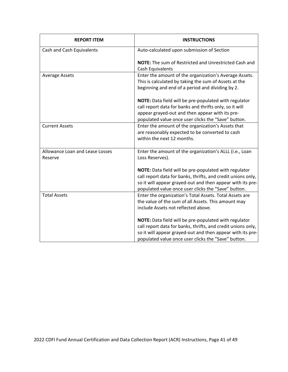| <b>REPORT ITEM</b>                         | <b>INSTRUCTIONS</b>                                                                                                                                                                                                                        |
|--------------------------------------------|--------------------------------------------------------------------------------------------------------------------------------------------------------------------------------------------------------------------------------------------|
| Cash and Cash Equivalents                  | Auto-calculated upon submission of Section                                                                                                                                                                                                 |
|                                            | <b>NOTE:</b> The sum of Restricted and Unrestricted Cash and<br>Cash Equivalents                                                                                                                                                           |
| <b>Average Assets</b>                      | Enter the amount of the organization's Average Assets.<br>This is calculated by taking the sum of Assets at the<br>beginning and end of a period and dividing by 2.                                                                        |
|                                            | NOTE: Data field will be pre-populated with regulator<br>call report data for banks and thrifts only, so it will<br>appear grayed-out and then appear with its pre-<br>populated value once user clicks the "Save" button.                 |
| <b>Current Assets</b>                      | Enter the amount of the organization's Assets that<br>are reasonably expected to be converted to cash<br>within the next 12 months.                                                                                                        |
| Allowance Loan and Lease Losses<br>Reserve | Enter the amount of the organization's ALLL (i.e., Loan<br>Loss Reserves).                                                                                                                                                                 |
|                                            | NOTE: Data field will be pre-populated with regulator<br>call report data for banks, thrifts, and credit unions only,<br>so it will appear grayed-out and then appear with its pre-<br>populated value once user clicks the "Save" button. |
| <b>Total Assets</b>                        | Enter the organization's Total Assets. Total Assets are<br>the value of the sum of all Assets. This amount may<br>include Assets not reflected above.                                                                                      |
|                                            | NOTE: Data field will be pre-populated with regulator<br>call report data for banks, thrifts, and credit unions only,<br>so it will appear grayed-out and then appear with its pre-<br>populated value once user clicks the "Save" button. |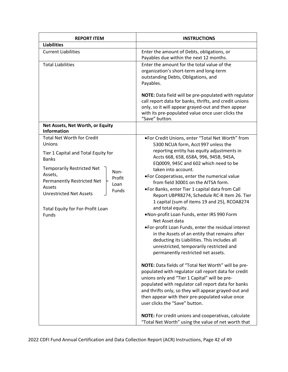| <b>REPORT ITEM</b>                                                                                                                                                                                                                                                                                           | <b>INSTRUCTIONS</b>                                                                                                                                                                                                                                                                                                                                                                                                                                                                                                                                                                                                                                                                                                                                                                                                                                                                                                                                                                                                                                                                                                                                                                             |
|--------------------------------------------------------------------------------------------------------------------------------------------------------------------------------------------------------------------------------------------------------------------------------------------------------------|-------------------------------------------------------------------------------------------------------------------------------------------------------------------------------------------------------------------------------------------------------------------------------------------------------------------------------------------------------------------------------------------------------------------------------------------------------------------------------------------------------------------------------------------------------------------------------------------------------------------------------------------------------------------------------------------------------------------------------------------------------------------------------------------------------------------------------------------------------------------------------------------------------------------------------------------------------------------------------------------------------------------------------------------------------------------------------------------------------------------------------------------------------------------------------------------------|
| <b>Liabilities</b>                                                                                                                                                                                                                                                                                           |                                                                                                                                                                                                                                                                                                                                                                                                                                                                                                                                                                                                                                                                                                                                                                                                                                                                                                                                                                                                                                                                                                                                                                                                 |
| <b>Current Liabilities</b>                                                                                                                                                                                                                                                                                   | Enter the amount of Debts, obligations, or<br>Payables due within the next 12 months.                                                                                                                                                                                                                                                                                                                                                                                                                                                                                                                                                                                                                                                                                                                                                                                                                                                                                                                                                                                                                                                                                                           |
| <b>Total Liabilities</b>                                                                                                                                                                                                                                                                                     | Enter the amount for the total value of the<br>organization's short-term and long-term<br>outstanding Debts, Obligations, and<br>Payables.<br>NOTE: Data field will be pre-populated with regulator<br>call report data for banks, thrifts, and credit unions<br>only, so it will appear grayed-out and then appear<br>with its pre-populated value once user clicks the<br>"Save" button.                                                                                                                                                                                                                                                                                                                                                                                                                                                                                                                                                                                                                                                                                                                                                                                                      |
| Net Assets, Net Worth, or Equity<br><b>Information</b>                                                                                                                                                                                                                                                       |                                                                                                                                                                                                                                                                                                                                                                                                                                                                                                                                                                                                                                                                                                                                                                                                                                                                                                                                                                                                                                                                                                                                                                                                 |
| <b>Total Net Worth for Credit</b><br>Unions<br>Tier 1 Capital and Total Equity for<br><b>Banks</b><br><b>Temporarily Restricted Net</b><br>Non-<br>Assets,<br>Profit<br>Permanently Restricted Net<br>Loan<br>Assets<br>Funds<br><b>Unrestricted Net Assets</b><br>Total Equity for For-Profit Loan<br>Funds | .For Credit Unions, enter "Total Net Worth" from<br>5300 NCUA form, Acct 997 unless the<br>reporting entity has equity adjustments in<br>Accts 668, 658, 658A, 996, 945B, 945A,<br>EQ0009, 945C and 602 which need to be<br>taken into account.<br>. For Cooperativas, enter the numerical value<br>from field 30001 on the AITSA form.<br>. For Banks, enter Tier 1 capital data from Call<br>Report UBPR8274, Schedule RC-R Item 26. Tier<br>1 capital (sum of items 19 and 25), RCOA8274<br>and total equity.<br>.Non-profit Loan Funds, enter IRS 990 Form<br>Net Asset data<br>. For-profit Loan Funds, enter the residual interest<br>in the Assets of an entity that remains after<br>deducting its Liabilities. This includes all<br>unrestricted, temporarily restricted and<br>permanently restricted net assets.<br>NOTE: Data fields of "Total Net Worth" will be pre-<br>populated with regulator call report data for credit<br>unions only and "Tier 1 Capital" will be pre-<br>populated with regulator call report data for banks<br>and thrifts only, so they will appear grayed-out and<br>then appear with their pre-populated value once<br>user clicks the "Save" button. |
|                                                                                                                                                                                                                                                                                                              | NOTE: For credit unions and cooperativas, calculate<br>"Total Net Worth" using the value of net worth that                                                                                                                                                                                                                                                                                                                                                                                                                                                                                                                                                                                                                                                                                                                                                                                                                                                                                                                                                                                                                                                                                      |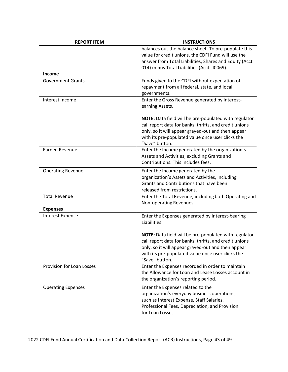| <b>REPORT ITEM</b>        | <b>INSTRUCTIONS</b>                                                                  |
|---------------------------|--------------------------------------------------------------------------------------|
|                           | balances out the balance sheet. To pre-populate this                                 |
|                           | value for credit unions, the CDFI Fund will use the                                  |
|                           | answer from Total Liabilities, Shares and Equity (Acct                               |
|                           | 014) minus Total Liabilities (Acct LI0069).                                          |
| <b>Income</b>             |                                                                                      |
| <b>Government Grants</b>  | Funds given to the CDFI without expectation of                                       |
|                           | repayment from all federal, state, and local                                         |
|                           | governments.                                                                         |
| Interest Income           | Enter the Gross Revenue generated by interest-<br>earning Assets.                    |
|                           | NOTE: Data field will be pre-populated with regulator                                |
|                           | call report data for banks, thrifts, and credit unions                               |
|                           | only, so it will appear grayed-out and then appear                                   |
|                           | with its pre-populated value once user clicks the                                    |
| <b>Earned Revenue</b>     | "Save" button.<br>Enter the Income generated by the organization's                   |
|                           | Assets and Activities, excluding Grants and                                          |
|                           | Contributions. This includes fees.                                                   |
|                           |                                                                                      |
| <b>Operating Revenue</b>  | Enter the Income generated by the<br>organization's Assets and Activities, including |
|                           | Grants and Contributions that have been                                              |
|                           | released from restrictions.                                                          |
| <b>Total Revenue</b>      | Enter the Total Revenue, including both Operating and                                |
|                           | Non-operating Revenues.                                                              |
| <b>Expenses</b>           |                                                                                      |
| <b>Interest Expense</b>   | Enter the Expenses generated by interest-bearing<br>Liabilities.                     |
|                           |                                                                                      |
|                           | NOTE: Data field will be pre-populated with regulator                                |
|                           | call report data for banks, thrifts, and credit unions                               |
|                           | only, so it will appear grayed-out and then appear                                   |
|                           | with its pre-populated value once user clicks the                                    |
|                           | "Save" button.                                                                       |
| Provision for Loan Losses | Enter the Expenses recorded in order to maintain                                     |
|                           | the Allowance for Loan and Lease Losses account in                                   |
|                           | the organization's reporting period.                                                 |
| <b>Operating Expenses</b> | Enter the Expenses related to the                                                    |
|                           | organization's everyday business operations,                                         |
|                           | such as Interest Expense, Staff Salaries,                                            |
|                           | Professional Fees, Depreciation, and Provision                                       |
|                           | for Loan Losses                                                                      |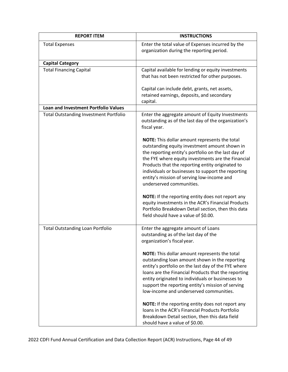| <b>REPORT ITEM</b>                            | <b>INSTRUCTIONS</b>                                                                                                                                                                                                                                                                                                                                                                                                     |
|-----------------------------------------------|-------------------------------------------------------------------------------------------------------------------------------------------------------------------------------------------------------------------------------------------------------------------------------------------------------------------------------------------------------------------------------------------------------------------------|
| <b>Total Expenses</b>                         | Enter the total value of Expenses incurred by the<br>organization during the reporting period.                                                                                                                                                                                                                                                                                                                          |
| <b>Capital Category</b>                       |                                                                                                                                                                                                                                                                                                                                                                                                                         |
| <b>Total Financing Capital</b>                | Capital available for lending or equity investments<br>that has not been restricted for other purposes.                                                                                                                                                                                                                                                                                                                 |
|                                               | Capital can include debt, grants, net assets,<br>retained earnings, deposits, and secondary<br>capital.                                                                                                                                                                                                                                                                                                                 |
| Loan and Investment Portfolio Values          |                                                                                                                                                                                                                                                                                                                                                                                                                         |
| <b>Total Outstanding Investment Portfolio</b> | Enter the aggregate amount of Equity Investments<br>outstanding as of the last day of the organization's<br>fiscal year.                                                                                                                                                                                                                                                                                                |
|                                               | NOTE: This dollar amount represents the total<br>outstanding equity investment amount shown in<br>the reporting entity's portfolio on the last day of<br>the FYE where equity investments are the Financial<br>Products that the reporting entity originated to<br>individuals or businesses to support the reporting<br>entity's mission of serving low-income and<br>underserved communities.                         |
|                                               | NOTE: If the reporting entity does not report any<br>equity investments in the ACR's Financial Products<br>Portfolio Breakdown Detail section, then this data<br>field should have a value of \$0.00.                                                                                                                                                                                                                   |
| <b>Total Outstanding Loan Portfolio</b>       | Enter the aggregate amount of Loans<br>outstanding as of the last day of the<br>organization's fiscal year.                                                                                                                                                                                                                                                                                                             |
|                                               | NOTE: This dollar amount represents the total<br>outstanding loan amount shown in the reporting<br>entity's portfolio on the last day of the FYE where<br>loans are the Financial Products that the reporting<br>entity originated to individuals or businesses to<br>support the reporting entity's mission of serving<br>low-income and underserved communities.<br>NOTE: If the reporting entity does not report any |
|                                               | Ioans in the ACR's Financial Products Portfolio<br>Breakdown Detail section, then this data field<br>should have a value of \$0.00.                                                                                                                                                                                                                                                                                     |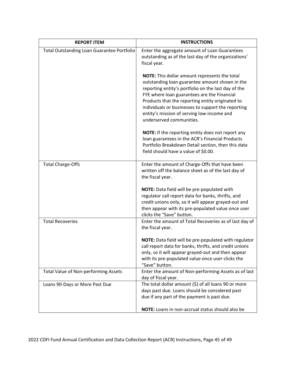| <b>REPORT ITEM</b>                         | <b>INSTRUCTIONS</b>                                                                                                                                                                                                                                                                                                                                                                       |
|--------------------------------------------|-------------------------------------------------------------------------------------------------------------------------------------------------------------------------------------------------------------------------------------------------------------------------------------------------------------------------------------------------------------------------------------------|
| Total Outstanding Loan Guarantee Portfolio | Enter the aggregate amount of Loan Guarantees<br>outstanding as of the last day of the organizations'<br>fiscal year.                                                                                                                                                                                                                                                                     |
|                                            | NOTE: This dollar amount represents the total<br>outstanding loan guarantee amount shown in the<br>reporting entity's portfolio on the last day of the<br>FYE where loan guarantees are the Financial<br>Products that the reporting entity originated to<br>individuals or businesses to support the reporting<br>entity's mission of serving low-income and<br>underserved communities. |
|                                            | NOTE: If the reporting entity does not report any<br>loan guarantees in the ACR's Financial Products<br>Portfolio Breakdown Detail section, then this data<br>field should have a value of \$0.00.                                                                                                                                                                                        |
| <b>Total Charge-Offs</b>                   | Enter the amount of Charge-Offs that have been<br>written off the balance sheet as of the last day of<br>the fiscal year.                                                                                                                                                                                                                                                                 |
|                                            | NOTE: Data field will be pre-populated with<br>regulator call report data for banks, thrifts, and<br>credit unions only, so it will appear grayed-out and<br>then appear with its pre-populated value once user<br>clicks the "Save" button.                                                                                                                                              |
| <b>Total Recoveries</b>                    | Enter the amount of Total Recoveries as of last day of<br>the fiscal year.                                                                                                                                                                                                                                                                                                                |
|                                            | NOTE: Data field will be pre-populated with regulator<br>call report data for banks, thrifts, and credit unions<br>only, so it will appear grayed-out and then appear<br>with its pre-populated value once user clicks the<br>"Save" button.                                                                                                                                              |
| Total Value of Non-performing Assets       | Enter the amount of Non-performing Assets as of last<br>day of fiscal year.                                                                                                                                                                                                                                                                                                               |
| Loans 90-Days or More Past Due             | The total dollar amount (\$) of all loans 90 or more<br>days past due. Loans should be considered past<br>due if any part of the payment is past due.                                                                                                                                                                                                                                     |
|                                            | NOTE: Loans in non-accrual status should also be                                                                                                                                                                                                                                                                                                                                          |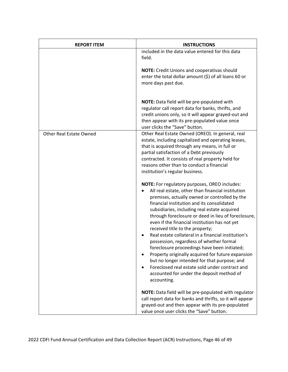| <b>REPORT ITEM</b>             | <b>INSTRUCTIONS</b>                                                                                                                                                                                                                                                                                                                                                                                                                                                                                                                                                                                                                                                                                                                                                |
|--------------------------------|--------------------------------------------------------------------------------------------------------------------------------------------------------------------------------------------------------------------------------------------------------------------------------------------------------------------------------------------------------------------------------------------------------------------------------------------------------------------------------------------------------------------------------------------------------------------------------------------------------------------------------------------------------------------------------------------------------------------------------------------------------------------|
|                                | included in the data value entered for this data<br>field.                                                                                                                                                                                                                                                                                                                                                                                                                                                                                                                                                                                                                                                                                                         |
|                                | <b>NOTE:</b> Credit Unions and cooperativas should<br>enter the total dollar amount $(\xi)$ of all loans 60 or<br>more days past due.                                                                                                                                                                                                                                                                                                                                                                                                                                                                                                                                                                                                                              |
|                                | NOTE: Data field will be pre-populated with<br>regulator call report data for banks, thrifts, and<br>credit unions only, so it will appear grayed-out and<br>then appear with its pre-populated value once<br>user clicks the "Save" button.                                                                                                                                                                                                                                                                                                                                                                                                                                                                                                                       |
| <b>Other Real Estate Owned</b> | Other Real Estate Owned (OREO). In general, real<br>estate, including capitalized and operating leases,<br>that is acquired through any means, in full or<br>partial satisfaction of a Debt previously<br>contracted. It consists of real property held for<br>reasons other than to conduct a financial<br>institution's regular business.                                                                                                                                                                                                                                                                                                                                                                                                                        |
|                                | NOTE: For regulatory purposes, OREO includes:<br>All real estate, other than financial institution<br>premises, actually owned or controlled by the<br>financial institution and its consolidated<br>subsidiaries, including real estate acquired<br>through foreclosure or deed in lieu of foreclosure,<br>even if the financial institution has not yet<br>received title to the property;<br>Real estate collateral in a financial institution's<br>possession, regardless of whether formal<br>foreclosure proceedings have been initiated;<br>Property originally acquired for future expansion<br>but no longer intended for that purpose; and<br>Foreclosed real estate sold under contract and<br>accounted for under the deposit method of<br>accounting. |
|                                | NOTE: Data field will be pre-populated with regulator<br>call report data for banks and thrifts, so it will appear<br>grayed-out and then appear with its pre-populated<br>value once user clicks the "Save" button.                                                                                                                                                                                                                                                                                                                                                                                                                                                                                                                                               |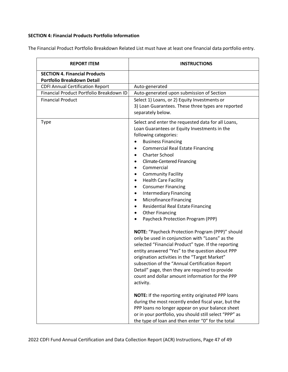#### **SECTION 4: Financial Products Portfolio Information**

The Financial Product Portfolio Breakdown Related List must have at least one financial data portfolio entry.

| <b>REPORT ITEM</b>                                                 | <b>INSTRUCTIONS</b>                                                                                                                                                                                                                                                                                                                                                                                                                                                                                                                                                                                                                                                                                                 |
|--------------------------------------------------------------------|---------------------------------------------------------------------------------------------------------------------------------------------------------------------------------------------------------------------------------------------------------------------------------------------------------------------------------------------------------------------------------------------------------------------------------------------------------------------------------------------------------------------------------------------------------------------------------------------------------------------------------------------------------------------------------------------------------------------|
| <b>SECTION 4. Financial Products</b><br>Portfolio Breakdown Detail |                                                                                                                                                                                                                                                                                                                                                                                                                                                                                                                                                                                                                                                                                                                     |
| <b>CDFI Annual Certification Report</b>                            | Auto-generated                                                                                                                                                                                                                                                                                                                                                                                                                                                                                                                                                                                                                                                                                                      |
| Financial Product Portfolio Breakdown ID                           | Auto-generated upon submission of Section                                                                                                                                                                                                                                                                                                                                                                                                                                                                                                                                                                                                                                                                           |
| <b>Financial Product</b>                                           | Select 1) Loans, or 2) Equity Investments or<br>3) Loan Guarantees. These three types are reported<br>separately below.                                                                                                                                                                                                                                                                                                                                                                                                                                                                                                                                                                                             |
| Type                                                               | Select and enter the requested data for all Loans,<br>Loan Guarantees or Equity Investments in the<br>following categories:<br><b>Business Financing</b><br><b>Commercial Real Estate Financing</b><br><b>Charter School</b><br>$\bullet$<br><b>Climate-Centered Financing</b><br>Commercial<br><b>Community Facility</b><br>٠<br><b>Health Care Facility</b><br>٠<br><b>Consumer Financing</b><br>$\bullet$<br><b>Intermediary Financing</b><br>٠<br>Microfinance Financing<br>$\bullet$<br><b>Residential Real Estate Financing</b><br><b>Other Financing</b><br>Paycheck Protection Program (PPP)                                                                                                                |
|                                                                    | NOTE: "Paycheck Protection Program (PPP)" should<br>only be used in conjunction with "Loans" as the<br>selected "Financial Product" type. If the reporting<br>entity answered "Yes" to the question about PPP<br>origination activities in the "Target Market"<br>subsection of the "Annual Certification Report<br>Detail" page, then they are required to provide<br>count and dollar amount information for the PPP<br>activity.<br>NOTE: If the reporting entity originated PPP loans<br>during the most recently ended fiscal year, but the<br>PPP loans no longer appear on your balance sheet<br>or in your portfolio, you should still select "PPP" as<br>the type of loan and then enter "0" for the total |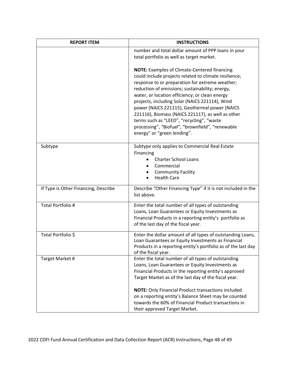| <b>REPORT ITEM</b>                   | <b>INSTRUCTIONS</b>                                                                                                                                                                                                                                                                                                                                                                                                                                                                                                                                          |
|--------------------------------------|--------------------------------------------------------------------------------------------------------------------------------------------------------------------------------------------------------------------------------------------------------------------------------------------------------------------------------------------------------------------------------------------------------------------------------------------------------------------------------------------------------------------------------------------------------------|
|                                      | number and total dollar amount of PPP loans in your<br>total portfolio as well as target market.                                                                                                                                                                                                                                                                                                                                                                                                                                                             |
|                                      | <b>NOTE:</b> Examples of Climate-Centered financing<br>could include projects related to climate resilience;<br>response to or preparation for extreme weather;<br>reduction of emissions; sustainability; energy,<br>water, or location efficiency; or clean energy<br>projects, including Solar (NAICS 221114), Wind<br>power (NAICS 221115), Geothermal power (NAICS<br>221116), Biomass (NAICS 221117), as well as other<br>terms such as "LEED", "recycling", "waste<br>processing", "Biofuel", "brownfield", "renewable<br>energy" or "green lending". |
| Subtype                              | Subtype only applies to Commercial Real Estate<br>Financing<br><b>Charter School Loans</b><br>Commercial<br><b>Community Facility</b><br><b>Health Care</b>                                                                                                                                                                                                                                                                                                                                                                                                  |
| If Type is Other Financing, Describe | Describe "Other Financing Type" if it is not included in the<br>list above.                                                                                                                                                                                                                                                                                                                                                                                                                                                                                  |
| Total Portfolio #                    | Enter the total number of all types of outstanding<br>Loans, Loan Guarantees or Equity Investments as<br>Financial Products in a reporting entity's portfolio as<br>of the last day of the fiscal year.                                                                                                                                                                                                                                                                                                                                                      |
| Total Portfolio \$                   | Enter the dollar amount of all types of outstanding Loans,<br>Loan Guarantees or Equity Investments as Financial<br>Products in a reporting entity's portfolio as of the last day<br>of the fiscal year.                                                                                                                                                                                                                                                                                                                                                     |
| Target Market #                      | Enter the total number of all types of outstanding<br>Loans, Loan Guarantees or Equity Investments as<br>Financial Products in the reporting entity's approved<br>Target Market as of the last day of the fiscal year.<br><b>NOTE:</b> Only Financial Product transactions included<br>on a reporting entity's Balance Sheet may be counted<br>towards the 60% of Financial Product transactions in<br>their approved Target Market.                                                                                                                         |